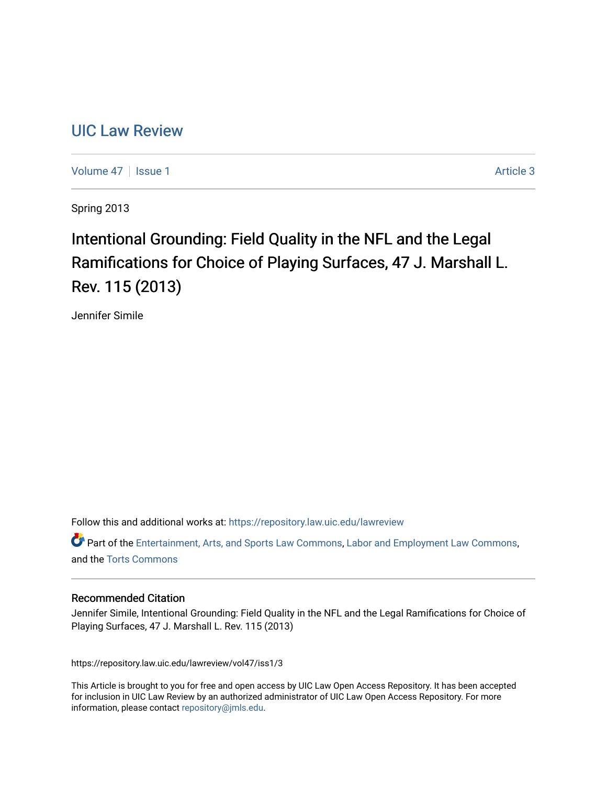## [UIC Law Review](https://repository.law.uic.edu/lawreview)

[Volume 47](https://repository.law.uic.edu/lawreview/vol47) | [Issue 1](https://repository.law.uic.edu/lawreview/vol47/iss1) Article 3

Spring 2013

# Intentional Grounding: Field Quality in the NFL and the Legal Ramifications for Choice of Playing Surfaces, 47 J. Marshall L. Rev. 115 (2013)

Jennifer Simile

Follow this and additional works at: [https://repository.law.uic.edu/lawreview](https://repository.law.uic.edu/lawreview?utm_source=repository.law.uic.edu%2Flawreview%2Fvol47%2Fiss1%2F3&utm_medium=PDF&utm_campaign=PDFCoverPages) 

Part of the [Entertainment, Arts, and Sports Law Commons](http://network.bepress.com/hgg/discipline/893?utm_source=repository.law.uic.edu%2Flawreview%2Fvol47%2Fiss1%2F3&utm_medium=PDF&utm_campaign=PDFCoverPages), [Labor and Employment Law Commons,](http://network.bepress.com/hgg/discipline/909?utm_source=repository.law.uic.edu%2Flawreview%2Fvol47%2Fiss1%2F3&utm_medium=PDF&utm_campaign=PDFCoverPages) and the [Torts Commons](http://network.bepress.com/hgg/discipline/913?utm_source=repository.law.uic.edu%2Flawreview%2Fvol47%2Fiss1%2F3&utm_medium=PDF&utm_campaign=PDFCoverPages)

#### Recommended Citation

Jennifer Simile, Intentional Grounding: Field Quality in the NFL and the Legal Ramifications for Choice of Playing Surfaces, 47 J. Marshall L. Rev. 115 (2013)

https://repository.law.uic.edu/lawreview/vol47/iss1/3

This Article is brought to you for free and open access by UIC Law Open Access Repository. It has been accepted for inclusion in UIC Law Review by an authorized administrator of UIC Law Open Access Repository. For more information, please contact [repository@jmls.edu.](mailto:repository@jmls.edu)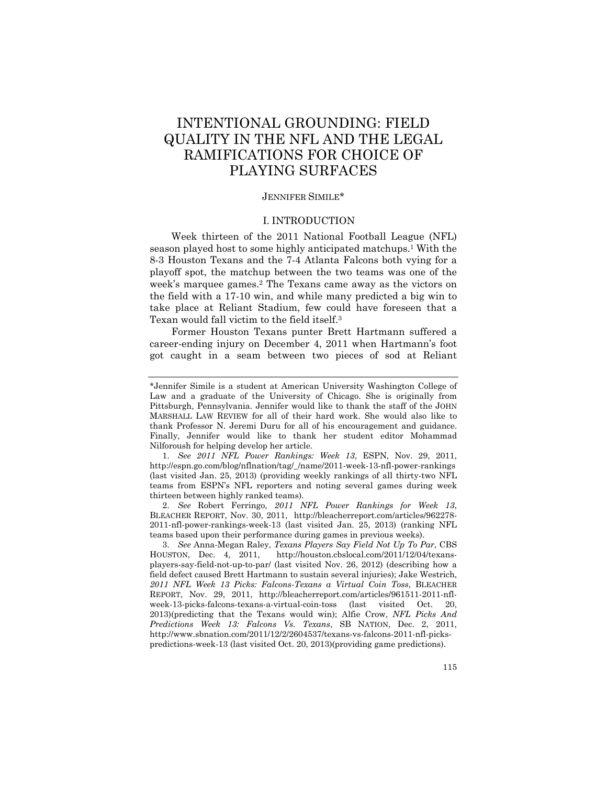### INTENTIONAL GROUNDING: FIELD QUALITY IN THE NFL AND THE LEGAL RAMIFICATIONS FOR CHOICE OF PLAYING SURFACES

#### JENNIFER SIMILE\*

#### I. INTRODUCTION

Week thirteen of the 2011 National Football League (NFL) season played host to some highly anticipated matchups.1 With the 8-3 Houston Texans and the 7-4 Atlanta Falcons both vying for a playoff spot, the matchup between the two teams was one of the week's marquee games.2 The Texans came away as the victors on the field with a 17-10 win, and while many predicted a big win to take place at Reliant Stadium, few could have foreseen that a Texan would fall victim to the field itself.3

Former Houston Texans punter Brett Hartmann suffered a career-ending injury on December 4, 2011 when Hartmann's foot got caught in a seam between two pieces of sod at Reliant

 1. *See 2011 NFL Power Rankings: Week 13*, ESPN, Nov. 29, 2011, http://espn.go.com/blog/nflnation/tag/\_/name/2011-week-13-nfl-power-rankings (last visited Jan. 25, 2013) (providing weekly rankings of all thirty-two NFL teams from ESPN's NFL reporters and noting several games during week thirteen between highly ranked teams).

 2. *See* Robert Ferringo, *2011 NFL Power Rankings for Week 13*, BLEACHER REPORT, Nov. 30, 2011, http://bleacherreport.com/articles/962278- 2011-nfl-power-rankings-week-13 (last visited Jan. 25, 2013) (ranking NFL teams based upon their performance during games in previous weeks).

 3. *See* Anna-Megan Raley, *Texans Players Say Field Not Up To Par*, CBS http://houston.cbslocal.com/2011/12/04/texansplayers-say-field-not-up-to-par/ (last visited Nov. 26, 2012) (describing how a field defect caused Brett Hartmann to sustain several injuries); Jake Westrich, *2011 NFL Week 13 Picks: Falcons-Texans a Virtual Coin Toss*, BLEACHER REPORT, Nov. 29, 2011, http://bleacherreport.com/articles/961511-2011-nflweek-13-picks-falcons-texans-a-virtual-coin-toss (last visited Oct. 20, 2013)(predicting that the Texans would win); Alfie Crow, *NFL Picks And Predictions Week 13: Falcons Vs. Texans*, SB NATION, Dec. 2, 2011, http://www.sbnation.com/2011/12/2/2604537/texans-vs-falcons-2011-nfl-pickspredictions-week-13 (last visited Oct. 20, 2013)(providing game predictions).

<sup>\*</sup>Jennifer Simile is a student at American University Washington College of Law and a graduate of the University of Chicago. She is originally from Pittsburgh, Pennsylvania. Jennifer would like to thank the staff of the JOHN MARSHALL LAW REVIEW for all of their hard work. She would also like to thank Professor N. Jeremi Duru for all of his encouragement and guidance. Finally, Jennifer would like to thank her student editor Mohammad Nilforoush for helping develop her article.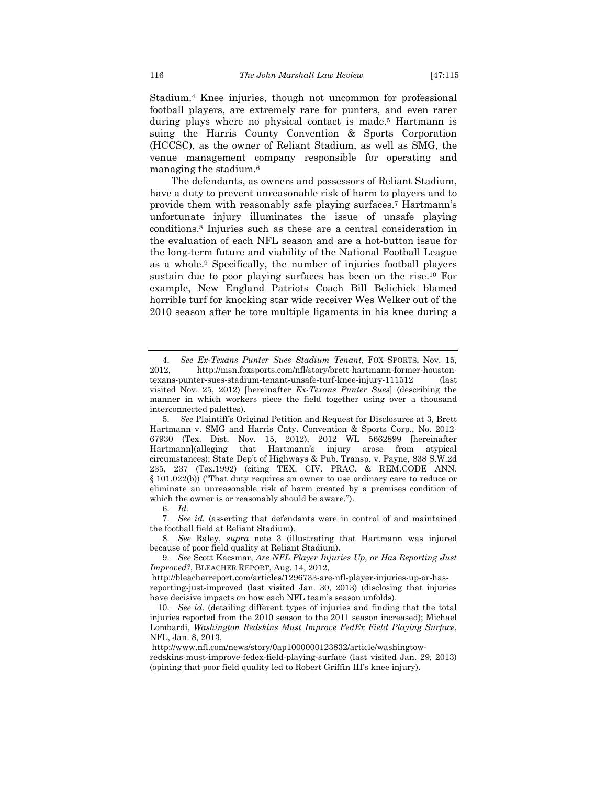Stadium.4 Knee injuries, though not uncommon for professional football players, are extremely rare for punters, and even rarer during plays where no physical contact is made.5 Hartmann is suing the Harris County Convention & Sports Corporation (HCCSC), as the owner of Reliant Stadium, as well as SMG, the venue management company responsible for operating and managing the stadium.6

The defendants, as owners and possessors of Reliant Stadium, have a duty to prevent unreasonable risk of harm to players and to provide them with reasonably safe playing surfaces.7 Hartmann's unfortunate injury illuminates the issue of unsafe playing conditions.8 Injuries such as these are a central consideration in the evaluation of each NFL season and are a hot-button issue for the long-term future and viability of the National Football League as a whole.9 Specifically, the number of injuries football players sustain due to poor playing surfaces has been on the rise.10 For example, New England Patriots Coach Bill Belichick blamed horrible turf for knocking star wide receiver Wes Welker out of the 2010 season after he tore multiple ligaments in his knee during a

6. *Id.*

 7. *See id.* (asserting that defendants were in control of and maintained the football field at Reliant Stadium).

 8. *See* Raley, *supra* note 3 (illustrating that Hartmann was injured because of poor field quality at Reliant Stadium).

 9. *See* Scott Kacsmar, *Are NFL Player Injuries Up, or Has Reporting Just Improved?*, BLEACHER REPORT, Aug. 14, 2012,

http://bleacherreport.com/articles/1296733-are-nfl-player-injuries-up-or-has-

reporting-just-improved (last visited Jan. 30, 2013) (disclosing that injuries have decisive impacts on how each NFL team's season unfolds).

 10. *See id.* (detailing different types of injuries and finding that the total injuries reported from the 2010 season to the 2011 season increased); Michael Lombardi, *Washington Redskins Must Improve FedEx Field Playing Surface*, NFL, Jan. 8, 2013,

 http://www.nfl.com/news/story/0ap1000000123832/article/washingtowredskins-must-improve-fedex-field-playing-surface (last visited Jan. 29, 2013) (opining that poor field quality led to Robert Griffin III's knee injury).

 <sup>4.</sup> *See Ex-Texans Punter Sues Stadium Tenant*, FOX SPORTS, Nov. 15, 2012, http://msn.foxsports.com/nfl/story/brett-hartmann-former-houstontexans-punter-sues-stadium-tenant-unsafe-turf-knee-injury-111512 (last visited Nov. 25, 2012) [hereinafter *Ex-Texans Punter Sues*] (describing the manner in which workers piece the field together using over a thousand interconnected palettes).

 <sup>5.</sup> *See* Plaintiff's Original Petition and Request for Disclosures at 3, Brett Hartmann v. SMG and Harris Cnty. Convention & Sports Corp., No. 2012- 67930 (Tex. Dist. Nov. 15, 2012), 2012 WL 5662899 [hereinafter Hartmann](alleging that Hartmann's injury arose from atypical circumstances); State Dep't of Highways & Pub. Transp. v. Payne, 838 S.W.2d 235, 237 (Tex.1992) (citing TEX. CIV. PRAC. & REM.CODE ANN. § 101.022(b)) ("That duty requires an owner to use ordinary care to reduce or eliminate an unreasonable risk of harm created by a premises condition of which the owner is or reasonably should be aware.").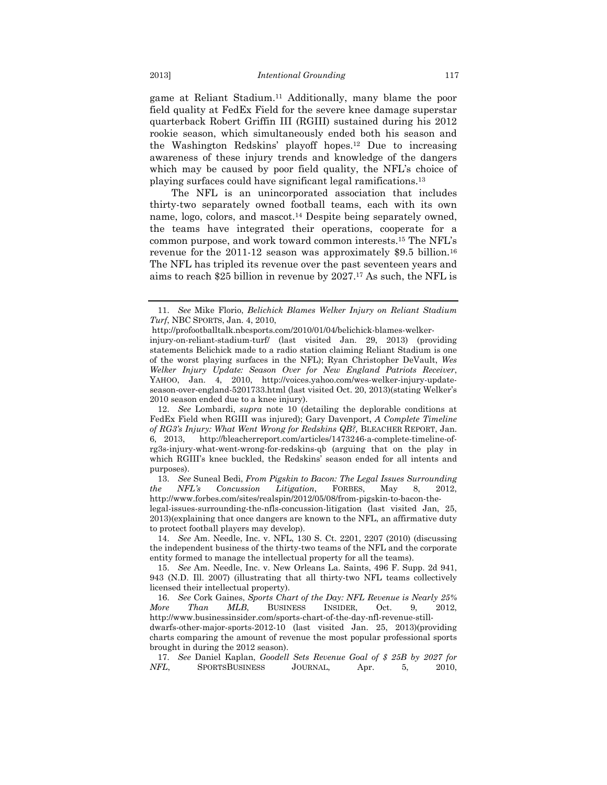game at Reliant Stadium.11 Additionally, many blame the poor field quality at FedEx Field for the severe knee damage superstar quarterback Robert Griffin III (RGIII) sustained during his 2012 rookie season, which simultaneously ended both his season and the Washington Redskins' playoff hopes.12 Due to increasing awareness of these injury trends and knowledge of the dangers which may be caused by poor field quality, the NFL's choice of playing surfaces could have significant legal ramifications.13

The NFL is an unincorporated association that includes thirty-two separately owned football teams, each with its own name, logo, colors, and mascot.14 Despite being separately owned, the teams have integrated their operations, cooperate for a common purpose, and work toward common interests.15 The NFL's revenue for the 2011-12 season was approximately \$9.5 billion.16 The NFL has tripled its revenue over the past seventeen years and aims to reach \$25 billion in revenue by 2027.17 As such, the NFL is

 <sup>11.</sup> *See* Mike Florio, *Belichick Blames Welker Injury on Reliant Stadium Turf*, NBC SPORTS, Jan. 4, 2010,

http://profootballtalk.nbcsports.com/2010/01/04/belichick-blames-welker-

injury-on-reliant-stadium-turf/ (last visited Jan. 29, 2013) (providing statements Belichick made to a radio station claiming Reliant Stadium is one of the worst playing surfaces in the NFL); Ryan Christopher DeVault, *Wes Welker Injury Update: Season Over for New England Patriots Receiver*, YAHOO, Jan. 4, 2010, http://voices.yahoo.com/wes-welker-injury-updateseason-over-england-5201733.html (last visited Oct. 20, 2013)(stating Welker's 2010 season ended due to a knee injury).

 <sup>12.</sup> *See* Lombardi, *supra* note 10 (detailing the deplorable conditions at FedEx Field when RGIII was injured); Gary Davenport, *A Complete Timeline of RG3's Injury: What Went Wrong for Redskins QB?,* BLEACHER REPORT, Jan. 6, 2013, http://bleacherreport.com/articles/1473246-a-complete-timeline-ofrg3s-injury-what-went-wrong-for-redskins-qb (arguing that on the play in which RGIII's knee buckled, the Redskins' season ended for all intents and purposes).

 <sup>13.</sup> *See* Suneal Bedi, *From Pigskin to Bacon: The Legal Issues Surrounding the NFL's Concussion Litigation*, FORBES, May 8, 2012, http://www.forbes.com/sites/realspin/2012/05/08/from-pigskin-to-bacon-thelegal-issues-surrounding-the-nfls-concussion-litigation (last visited Jan, 25,

<sup>2013)(</sup>explaining that once dangers are known to the NFL, an affirmative duty to protect football players may develop).

 <sup>14.</sup> *See* Am. Needle, Inc. v. NFL, 130 S. Ct. 2201, 2207 (2010) (discussing the independent business of the thirty-two teams of the NFL and the corporate entity formed to manage the intellectual property for all the teams).

 <sup>15.</sup> *See* Am. Needle, Inc. v. New Orleans La. Saints, 496 F. Supp. 2d 941, 943 (N.D. Ill. 2007) (illustrating that all thirty-two NFL teams collectively licensed their intellectual property).

 <sup>16.</sup> *See* Cork Gaines, *Sports Chart of the Day: NFL Revenue is Nearly 25% More Than MLB*, BUSINESS INSIDER, Oct. 9, 2012, http://www.businessinsider.com/sports-chart-of-the-day-nfl-revenue-stilldwarfs-other-major-sports-2012-10 (last visited Jan. 25, 2013)(providing charts comparing the amount of revenue the most popular professional sports brought in during the 2012 season).

 <sup>17.</sup> *See* Daniel Kaplan, *Goodell Sets Revenue Goal of \$ 25B by 2027 for NFL*, SPORTSBUSINESS JOURNAL, Apr. 5, 2010,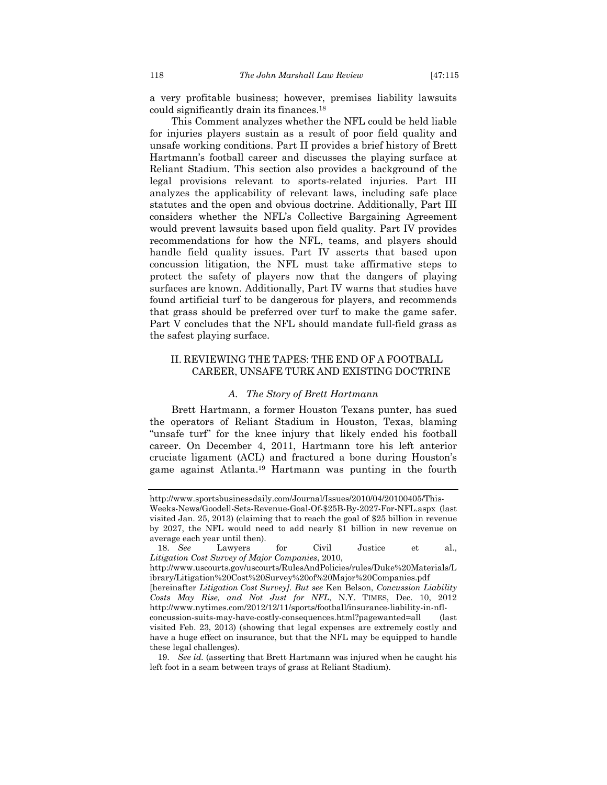a very profitable business; however, premises liability lawsuits could significantly drain its finances.18

This Comment analyzes whether the NFL could be held liable for injuries players sustain as a result of poor field quality and unsafe working conditions. Part II provides a brief history of Brett Hartmann's football career and discusses the playing surface at Reliant Stadium. This section also provides a background of the legal provisions relevant to sports-related injuries. Part III analyzes the applicability of relevant laws, including safe place statutes and the open and obvious doctrine. Additionally, Part III considers whether the NFL's Collective Bargaining Agreement would prevent lawsuits based upon field quality. Part IV provides recommendations for how the NFL, teams, and players should handle field quality issues. Part IV asserts that based upon concussion litigation, the NFL must take affirmative steps to protect the safety of players now that the dangers of playing surfaces are known. Additionally, Part IV warns that studies have found artificial turf to be dangerous for players, and recommends that grass should be preferred over turf to make the game safer. Part V concludes that the NFL should mandate full-field grass as the safest playing surface.

#### II. REVIEWING THE TAPES: THE END OF A FOOTBALL CAREER, UNSAFE TURK AND EXISTING DOCTRINE

#### *A. The Story of Brett Hartmann*

Brett Hartmann, a former Houston Texans punter, has sued the operators of Reliant Stadium in Houston, Texas, blaming "unsafe turf" for the knee injury that likely ended his football career. On December 4, 2011, Hartmann tore his left anterior cruciate ligament (ACL) and fractured a bone during Houston's game against Atlanta.19 Hartmann was punting in the fourth

http://www.sportsbusinessdaily.com/Journal/Issues/2010/04/20100405/This-

Weeks-News/Goodell-Sets-Revenue-Goal-Of-\$25B-By-2027-For-NFL.aspx (last visited Jan. 25, 2013) (claiming that to reach the goal of \$25 billion in revenue by 2027, the NFL would need to add nearly \$1 billion in new revenue on average each year until then).

 <sup>18.</sup> *See* Lawyers for Civil Justice et al., *Litigation Cost Survey of Major Companies*, 2010,

http://www.uscourts.gov/uscourts/RulesAndPolicies/rules/Duke%20Materials/L ibrary/Litigation%20Cost%20Survey%20of%20Major%20Companies.pdf

<sup>[</sup>hereinafter *Litigation Cost Survey]*. *But see* Ken Belson, *Concussion Liability Costs May Rise, and Not Just for NFL*, N.Y. TIMES, Dec. 10, 2012 http://www.nytimes.com/2012/12/11/sports/football/insurance-liability-in-nfl-

concussion-suits-may-have-costly-consequences.html?pagewanted=all (last visited Feb. 23, 2013) (showing that legal expenses are extremely costly and have a huge effect on insurance, but that the NFL may be equipped to handle these legal challenges).

 <sup>19.</sup> *See id.* (asserting that Brett Hartmann was injured when he caught his left foot in a seam between trays of grass at Reliant Stadium).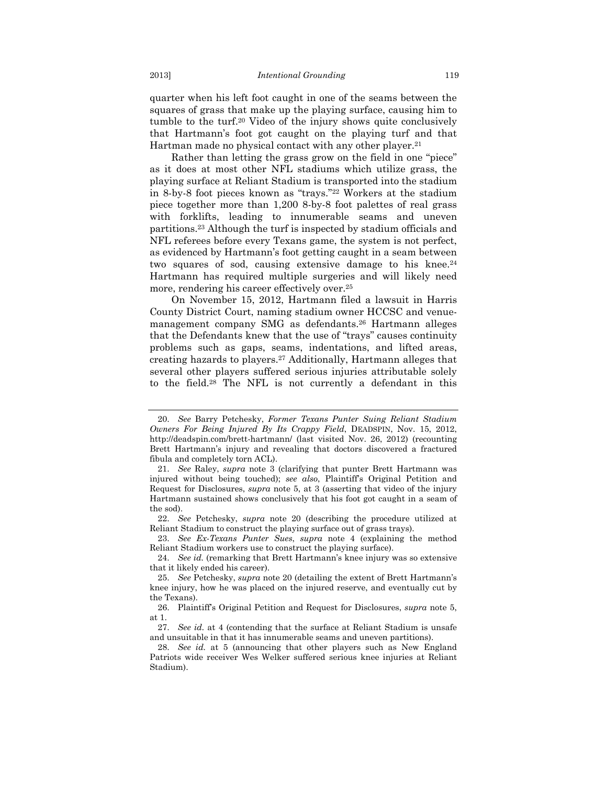quarter when his left foot caught in one of the seams between the squares of grass that make up the playing surface, causing him to tumble to the turf.20 Video of the injury shows quite conclusively that Hartmann's foot got caught on the playing turf and that Hartman made no physical contact with any other player.21

Rather than letting the grass grow on the field in one "piece" as it does at most other NFL stadiums which utilize grass, the playing surface at Reliant Stadium is transported into the stadium in 8-by-8 foot pieces known as "trays."22 Workers at the stadium piece together more than 1,200 8-by-8 foot palettes of real grass with forklifts, leading to innumerable seams and uneven partitions.23 Although the turf is inspected by stadium officials and NFL referees before every Texans game, the system is not perfect, as evidenced by Hartmann's foot getting caught in a seam between two squares of sod, causing extensive damage to his knee.24 Hartmann has required multiple surgeries and will likely need more, rendering his career effectively over.25

On November 15, 2012, Hartmann filed a lawsuit in Harris County District Court, naming stadium owner HCCSC and venuemanagement company SMG as defendants.26 Hartmann alleges that the Defendants knew that the use of "trays" causes continuity problems such as gaps, seams, indentations, and lifted areas, creating hazards to players.27 Additionally, Hartmann alleges that several other players suffered serious injuries attributable solely to the field.28 The NFL is not currently a defendant in this

 <sup>20.</sup> *See* Barry Petchesky, *Former Texans Punter Suing Reliant Stadium Owners For Being Injured By Its Crappy Field*, DEADSPIN, Nov. 15, 2012, http://deadspin.com/brett-hartmann/ (last visited Nov. 26, 2012) (recounting Brett Hartmann's injury and revealing that doctors discovered a fractured fibula and completely torn ACL).

 <sup>21.</sup> *See* Raley, *supra* note 3 (clarifying that punter Brett Hartmann was injured without being touched); *see also*, Plaintiff's Original Petition and Request for Disclosures, *supra* note 5, at 3 (asserting that video of the injury Hartmann sustained shows conclusively that his foot got caught in a seam of the sod).

 <sup>22.</sup> *See* Petchesky, *supra* note 20 (describing the procedure utilized at Reliant Stadium to construct the playing surface out of grass trays).

 <sup>23.</sup> *See Ex-Texans Punter Sues*, *supra* note 4 (explaining the method Reliant Stadium workers use to construct the playing surface).

 <sup>24.</sup> *See id.* (remarking that Brett Hartmann's knee injury was so extensive that it likely ended his career).

 <sup>25.</sup> *See* Petchesky, *supra* note 20 (detailing the extent of Brett Hartmann's knee injury, how he was placed on the injured reserve, and eventually cut by the Texans).

 <sup>26.</sup> Plaintiff's Original Petition and Request for Disclosures, *supra* note 5, at 1.

 <sup>27.</sup> *See id.* at 4 (contending that the surface at Reliant Stadium is unsafe and unsuitable in that it has innumerable seams and uneven partitions).

 <sup>28.</sup> *See id.* at 5 (announcing that other players such as New England Patriots wide receiver Wes Welker suffered serious knee injuries at Reliant Stadium).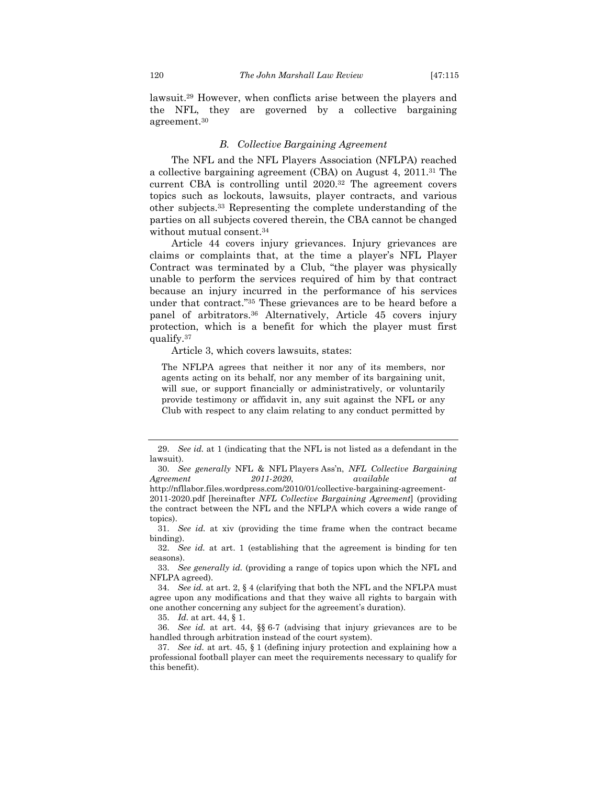lawsuit.29 However, when conflicts arise between the players and the NFL, they are governed by a collective bargaining agreement.30

#### *B. Collective Bargaining Agreement*

The NFL and the NFL Players Association (NFLPA) reached a collective bargaining agreement (CBA) on August 4, 2011.31 The current CBA is controlling until 2020.32 The agreement covers topics such as lockouts, lawsuits, player contracts, and various other subjects.33 Representing the complete understanding of the parties on all subjects covered therein, the CBA cannot be changed without mutual consent.34

Article 44 covers injury grievances. Injury grievances are claims or complaints that, at the time a player's NFL Player Contract was terminated by a Club, "the player was physically unable to perform the services required of him by that contract because an injury incurred in the performance of his services under that contract."35 These grievances are to be heard before a panel of arbitrators.36 Alternatively, Article 45 covers injury protection, which is a benefit for which the player must first qualify.37

Article 3, which covers lawsuits, states:

The NFLPA agrees that neither it nor any of its members, nor agents acting on its behalf, nor any member of its bargaining unit, will sue, or support financially or administratively, or voluntarily provide testimony or affidavit in, any suit against the NFL or any Club with respect to any claim relating to any conduct permitted by

 <sup>29.</sup> *See id.* at 1 (indicating that the NFL is not listed as a defendant in the lawsuit).

 <sup>30.</sup> *See generally* NFL & NFL Players Ass'n, *NFL Collective Bargaining Agreement 2011-2020*, *available at* http://nfllabor.files.wordpress.com/2010/01/collective-bargaining-agreement-

<sup>2011-2020.</sup>pdf [hereinafter *NFL Collective Bargaining Agreement*] (providing the contract between the NFL and the NFLPA which covers a wide range of topics).

 <sup>31.</sup> *See id.* at xiv (providing the time frame when the contract became binding).

 <sup>32.</sup> *See id.* at art. 1 (establishing that the agreement is binding for ten seasons).

 <sup>33.</sup> *See generally id.* (providing a range of topics upon which the NFL and NFLPA agreed).

 <sup>34.</sup> *See id.* at art. 2, § 4 (clarifying that both the NFL and the NFLPA must agree upon any modifications and that they waive all rights to bargain with one another concerning any subject for the agreement's duration).

 <sup>35.</sup> *Id.* at art. 44, § 1.

 <sup>36.</sup> *See id.* at art. 44, §§ 6-7 (advising that injury grievances are to be handled through arbitration instead of the court system).

 <sup>37.</sup> *See id.* at art. 45, § 1 (defining injury protection and explaining how a professional football player can meet the requirements necessary to qualify for this benefit).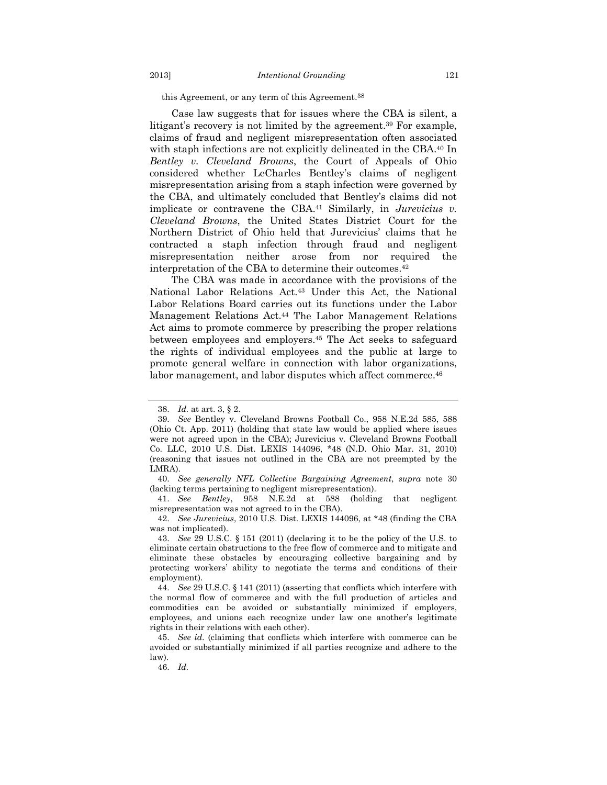this Agreement, or any term of this Agreement.38

Case law suggests that for issues where the CBA is silent, a litigant's recovery is not limited by the agreement.<sup>39</sup> For example, claims of fraud and negligent misrepresentation often associated with staph infections are not explicitly delineated in the CBA.<sup>40</sup> In *Bentley v. Cleveland Browns*, the Court of Appeals of Ohio considered whether LeCharles Bentley's claims of negligent misrepresentation arising from a staph infection were governed by the CBA, and ultimately concluded that Bentley's claims did not implicate or contravene the CBA.41 Similarly, in *Jurevicius v. Cleveland Browns*, the United States District Court for the Northern District of Ohio held that Jurevicius' claims that he contracted a staph infection through fraud and negligent misrepresentation neither arose from nor required the interpretation of the CBA to determine their outcomes.42

The CBA was made in accordance with the provisions of the National Labor Relations Act.43 Under this Act, the National Labor Relations Board carries out its functions under the Labor Management Relations Act.44 The Labor Management Relations Act aims to promote commerce by prescribing the proper relations between employees and employers.45 The Act seeks to safeguard the rights of individual employees and the public at large to promote general welfare in connection with labor organizations, labor management, and labor disputes which affect commerce.<sup>46</sup>

 <sup>38.</sup> *Id.* at art. 3, § 2.

 <sup>39.</sup> *See* Bentley v. Cleveland Browns Football Co., 958 N.E.2d 585, 588 (Ohio Ct. App. 2011) (holding that state law would be applied where issues were not agreed upon in the CBA); Jurevicius v. Cleveland Browns Football Co. LLC, 2010 U.S. Dist. LEXIS 144096, \*48 (N.D. Ohio Mar. 31, 2010) (reasoning that issues not outlined in the CBA are not preempted by the LMRA).

 <sup>40.</sup> *See generally NFL Collective Bargaining Agreement*, *supra* note 30 (lacking terms pertaining to negligent misrepresentation).

 <sup>41.</sup> *See Bentley*, 958 N.E.2d at 588 (holding that negligent misrepresentation was not agreed to in the CBA).

 <sup>42.</sup> *See Jurevicius*, 2010 U.S. Dist. LEXIS 144096, at \*48 (finding the CBA was not implicated).

 <sup>43.</sup> *See* 29 U.S.C. § 151 (2011) (declaring it to be the policy of the U.S. to eliminate certain obstructions to the free flow of commerce and to mitigate and eliminate these obstacles by encouraging collective bargaining and by protecting workers' ability to negotiate the terms and conditions of their employment).

 <sup>44.</sup> *See* 29 U.S.C. § 141 (2011) (asserting that conflicts which interfere with the normal flow of commerce and with the full production of articles and commodities can be avoided or substantially minimized if employers, employees, and unions each recognize under law one another's legitimate rights in their relations with each other).

 <sup>45.</sup> *See id.* (claiming that conflicts which interfere with commerce can be avoided or substantially minimized if all parties recognize and adhere to the law).

 <sup>46.</sup> *Id.*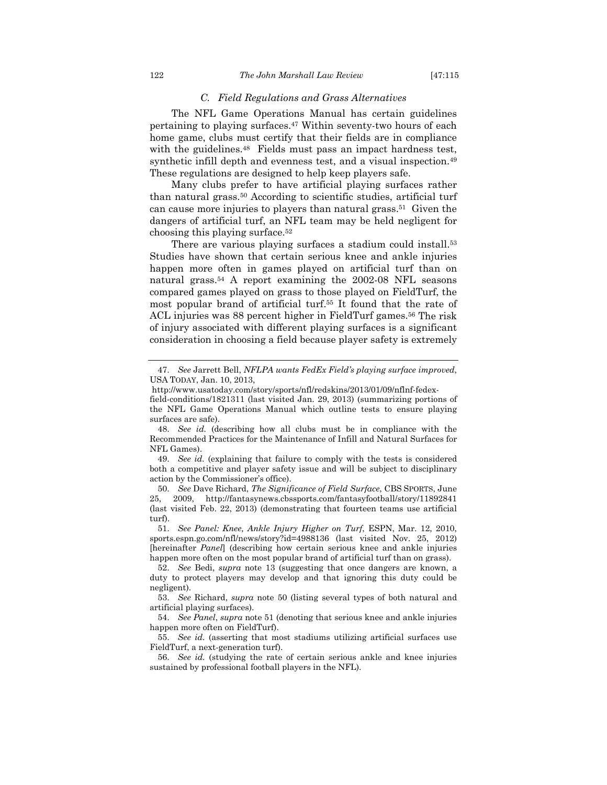### *C. Field Regulations and Grass Alternatives*

The NFL Game Operations Manual has certain guidelines pertaining to playing surfaces.47 Within seventy-two hours of each home game, clubs must certify that their fields are in compliance with the guidelines.<sup>48</sup> Fields must pass an impact hardness test, synthetic infill depth and evenness test, and a visual inspection.<sup>49</sup> These regulations are designed to help keep players safe.

Many clubs prefer to have artificial playing surfaces rather than natural grass.50 According to scientific studies, artificial turf can cause more injuries to players than natural grass.51 Given the dangers of artificial turf, an NFL team may be held negligent for choosing this playing surface.52

There are various playing surfaces a stadium could install.<sup>53</sup> Studies have shown that certain serious knee and ankle injuries happen more often in games played on artificial turf than on natural grass.54 A report examining the 2002-08 NFL seasons compared games played on grass to those played on FieldTurf, the most popular brand of artificial turf.55 It found that the rate of ACL injuries was 88 percent higher in FieldTurf games.<sup>56</sup> The risk of injury associated with different playing surfaces is a significant consideration in choosing a field because player safety is extremely

field-conditions/1821311 (last visited Jan. 29, 2013) (summarizing portions of the NFL Game Operations Manual which outline tests to ensure playing surfaces are safe).

 50. *See* Dave Richard, *The Significance of Field Surface*, CBS SPORTS, June 25, 2009, http://fantasynews.cbssports.com/fantasyfootball/story/11892841 (last visited Feb. 22, 2013) (demonstrating that fourteen teams use artificial turf).

 51. *See Panel: Knee, Ankle Injury Higher on Turf*, ESPN, Mar. 12, 2010, sports.espn.go.com/nfl/news/story?id=4988136 (last visited Nov. 25, 2012) [hereinafter *Panel*] (describing how certain serious knee and ankle injuries happen more often on the most popular brand of artificial turf than on grass).

 <sup>47.</sup> *See* Jarrett Bell, *NFLPA wants FedEx Field's playing surface improved*, USA TODAY, Jan. 10, 2013,

http://www.usatoday.com/story/sports/nfl/redskins/2013/01/09/nflnf-fedex-

 <sup>48.</sup> *See id.* (describing how all clubs must be in compliance with the Recommended Practices for the Maintenance of Infill and Natural Surfaces for NFL Games).

 <sup>49.</sup> *See id.* (explaining that failure to comply with the tests is considered both a competitive and player safety issue and will be subject to disciplinary action by the Commissioner's office).

 <sup>52.</sup> *See* Bedi, *supra* note 13 (suggesting that once dangers are known, a duty to protect players may develop and that ignoring this duty could be negligent).

 <sup>53.</sup> *See* Richard, *supra* note 50 (listing several types of both natural and artificial playing surfaces).

 <sup>54.</sup> *See Panel*, *supra* note 51 (denoting that serious knee and ankle injuries happen more often on FieldTurf).

 <sup>55.</sup> *See id.* (asserting that most stadiums utilizing artificial surfaces use FieldTurf, a next-generation turf).

 <sup>56.</sup> *See id.* (studying the rate of certain serious ankle and knee injuries sustained by professional football players in the NFL).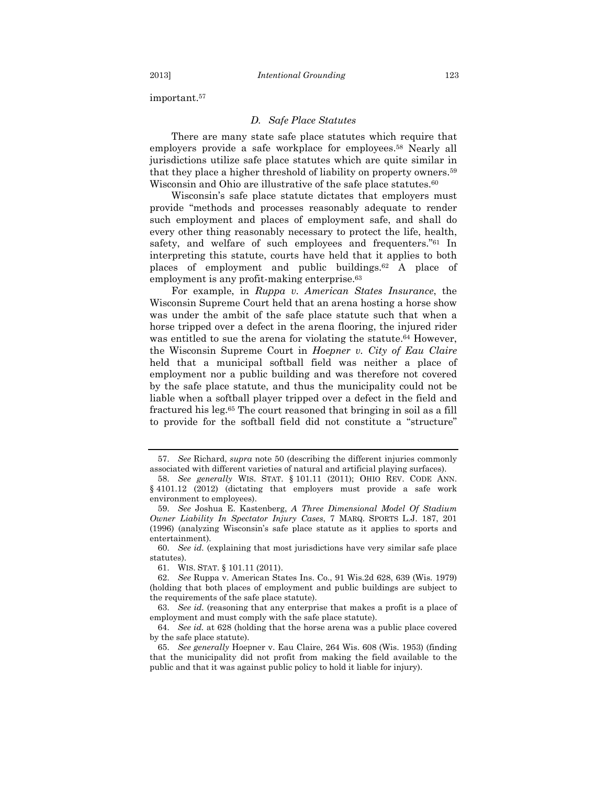important.57

#### *D. Safe Place Statutes*

There are many state safe place statutes which require that employers provide a safe workplace for employees.<sup>58</sup> Nearly all jurisdictions utilize safe place statutes which are quite similar in that they place a higher threshold of liability on property owners.59 Wisconsin and Ohio are illustrative of the safe place statutes.<sup>60</sup>

Wisconsin's safe place statute dictates that employers must provide "methods and processes reasonably adequate to render such employment and places of employment safe, and shall do every other thing reasonably necessary to protect the life, health, safety, and welfare of such employees and frequenters."<sup>61</sup> In interpreting this statute, courts have held that it applies to both places of employment and public buildings.62 A place of employment is any profit-making enterprise.<sup>63</sup>

For example, in *Ruppa v. American States Insurance*, the Wisconsin Supreme Court held that an arena hosting a horse show was under the ambit of the safe place statute such that when a horse tripped over a defect in the arena flooring, the injured rider was entitled to sue the arena for violating the statute.<sup>64</sup> However, the Wisconsin Supreme Court in *Hoepner v. City of Eau Claire* held that a municipal softball field was neither a place of employment nor a public building and was therefore not covered by the safe place statute, and thus the municipality could not be liable when a softball player tripped over a defect in the field and fractured his leg.65 The court reasoned that bringing in soil as a fill to provide for the softball field did not constitute a "structure"

 <sup>57.</sup> *See* Richard, *supra* note 50 (describing the different injuries commonly associated with different varieties of natural and artificial playing surfaces).

 <sup>58.</sup> *See generally* WIS. STAT. § 101.11 (2011); OHIO REV. CODE ANN. § 4101.12 (2012) (dictating that employers must provide a safe work environment to employees).

 <sup>59.</sup> *See* Joshua E. Kastenberg, *A Three Dimensional Model Of Stadium Owner Liability In Spectator Injury Cases*, 7 MARQ. SPORTS L.J. 187, 201 (1996) (analyzing Wisconsin's safe place statute as it applies to sports and entertainment).

 <sup>60.</sup> *See id.* (explaining that most jurisdictions have very similar safe place statutes).

 <sup>61.</sup> WIS. STAT. § 101.11 (2011).

 <sup>62.</sup> *See* Ruppa v. American States Ins. Co., 91 Wis.2d 628, 639 (Wis. 1979) (holding that both places of employment and public buildings are subject to the requirements of the safe place statute).

 <sup>63.</sup> *See id.* (reasoning that any enterprise that makes a profit is a place of employment and must comply with the safe place statute).

 <sup>64.</sup> *See id.* at 628 (holding that the horse arena was a public place covered by the safe place statute).

 <sup>65.</sup> *See generally* Hoepner v. Eau Claire, 264 Wis. 608 (Wis. 1953) (finding that the municipality did not profit from making the field available to the public and that it was against public policy to hold it liable for injury).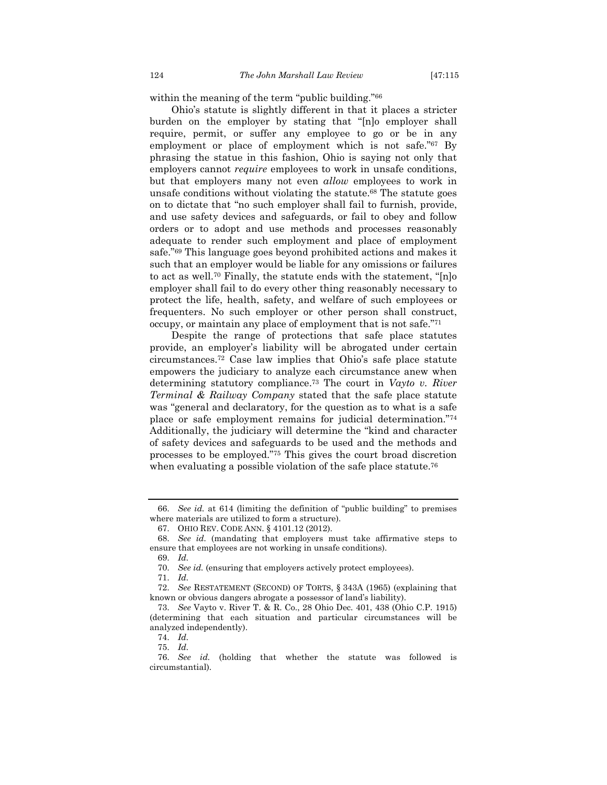within the meaning of the term "public building."66

Ohio's statute is slightly different in that it places a stricter burden on the employer by stating that "[n]o employer shall require, permit, or suffer any employee to go or be in any employment or place of employment which is not safe."67 By phrasing the statue in this fashion, Ohio is saying not only that employers cannot *require* employees to work in unsafe conditions, but that employers many not even *allow* employees to work in unsafe conditions without violating the statute.68 The statute goes on to dictate that "no such employer shall fail to furnish, provide, and use safety devices and safeguards, or fail to obey and follow orders or to adopt and use methods and processes reasonably adequate to render such employment and place of employment safe."69 This language goes beyond prohibited actions and makes it such that an employer would be liable for any omissions or failures to act as well.70 Finally, the statute ends with the statement, "[n]o employer shall fail to do every other thing reasonably necessary to protect the life, health, safety, and welfare of such employees or frequenters. No such employer or other person shall construct, occupy, or maintain any place of employment that is not safe."71

Despite the range of protections that safe place statutes provide, an employer's liability will be abrogated under certain circumstances.72 Case law implies that Ohio's safe place statute empowers the judiciary to analyze each circumstance anew when determining statutory compliance.73 The court in *Vayto v. River Terminal & Railway Company* stated that the safe place statute was "general and declaratory, for the question as to what is a safe place or safe employment remains for judicial determination."74 Additionally, the judiciary will determine the "kind and character of safety devices and safeguards to be used and the methods and processes to be employed."75 This gives the court broad discretion when evaluating a possible violation of the safe place statute.<sup>76</sup>

71. *Id.*

 <sup>66.</sup> *See id.* at 614 (limiting the definition of "public building" to premises where materials are utilized to form a structure).

 <sup>67.</sup> OHIO REV. CODE ANN. § 4101.12 (2012).

 <sup>68.</sup> *See id.* (mandating that employers must take affirmative steps to ensure that employees are not working in unsafe conditions).

 <sup>69.</sup> *Id.*

 <sup>70.</sup> *See id.* (ensuring that employers actively protect employees).

 <sup>72.</sup> *See* RESTATEMENT (SECOND) OF TORTS, § 343A (1965) (explaining that known or obvious dangers abrogate a possessor of land's liability).

 <sup>73.</sup> *See* Vayto v. River T. & R. Co., 28 Ohio Dec. 401, 438 (Ohio C.P. 1915) (determining that each situation and particular circumstances will be analyzed independently).

 <sup>74.</sup> *Id.*

 <sup>75.</sup> *Id.*

 <sup>76.</sup> *See id.* (holding that whether the statute was followed is circumstantial).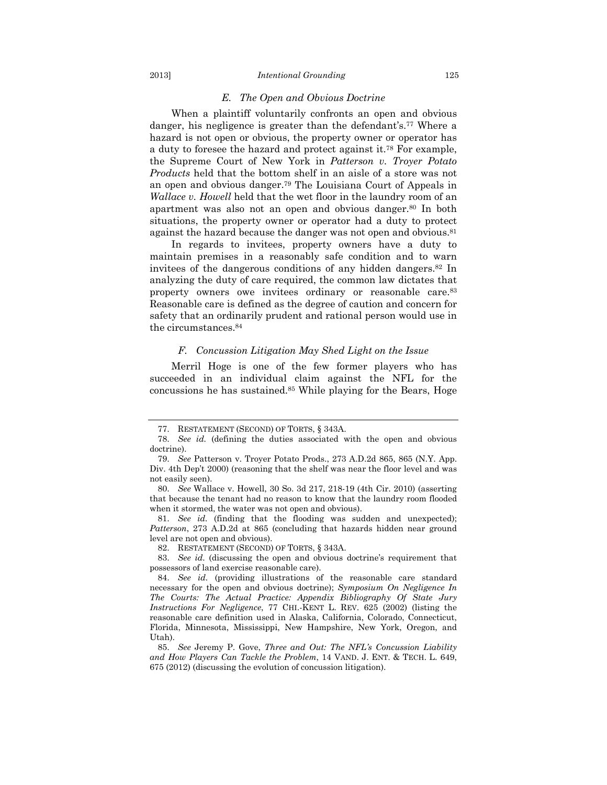#### *E. The Open and Obvious Doctrine*

When a plaintiff voluntarily confronts an open and obvious danger, his negligence is greater than the defendant's.<sup>77</sup> Where a hazard is not open or obvious, the property owner or operator has a duty to foresee the hazard and protect against it.78 For example, the Supreme Court of New York in *Patterson v. Troyer Potato Products* held that the bottom shelf in an aisle of a store was not an open and obvious danger.79 The Louisiana Court of Appeals in *Wallace v. Howell* held that the wet floor in the laundry room of an apartment was also not an open and obvious danger.80 In both situations, the property owner or operator had a duty to protect against the hazard because the danger was not open and obvious.<sup>81</sup>

In regards to invitees, property owners have a duty to maintain premises in a reasonably safe condition and to warn invitees of the dangerous conditions of any hidden dangers.82 In analyzing the duty of care required, the common law dictates that property owners owe invitees ordinary or reasonable care.<sup>83</sup> Reasonable care is defined as the degree of caution and concern for safety that an ordinarily prudent and rational person would use in the circumstances.84

#### *F. Concussion Litigation May Shed Light on the Issue*

Merril Hoge is one of the few former players who has succeeded in an individual claim against the NFL for the concussions he has sustained.85 While playing for the Bears, Hoge

 <sup>77.</sup> RESTATEMENT (SECOND) OF TORTS, § 343A.

 <sup>78.</sup> *See id.* (defining the duties associated with the open and obvious doctrine).

 <sup>79.</sup> *See* Patterson v. Troyer Potato Prods., 273 A.D.2d 865, 865 (N.Y. App. Div. 4th Dep't 2000) (reasoning that the shelf was near the floor level and was not easily seen).

 <sup>80.</sup> *See* Wallace v. Howell, 30 So. 3d 217, 218-19 (4th Cir. 2010) (asserting that because the tenant had no reason to know that the laundry room flooded when it stormed, the water was not open and obvious).

 <sup>81.</sup> *See id.* (finding that the flooding was sudden and unexpected); *Patterson*, 273 A.D.2d at 865 (concluding that hazards hidden near ground level are not open and obvious).

 <sup>82.</sup> RESTATEMENT (SECOND) OF TORTS, § 343A.

 <sup>83.</sup> *See id.* (discussing the open and obvious doctrine's requirement that possessors of land exercise reasonable care).

 <sup>84.</sup> *See id.* (providing illustrations of the reasonable care standard necessary for the open and obvious doctrine); *Symposium On Negligence In The Courts: The Actual Practice: Appendix Bibliography Of State Jury Instructions For Negligence*, 77 CHI.-KENT L. REV. 625 (2002) (listing the reasonable care definition used in Alaska, California, Colorado, Connecticut, Florida, Minnesota, Mississippi, New Hampshire, New York, Oregon, and Utah).

 <sup>85.</sup> *See* Jeremy P. Gove, *Three and Out: The NFL's Concussion Liability and How Players Can Tackle the Problem*, 14 VAND. J. ENT. & TECH. L. 649, 675 (2012) (discussing the evolution of concussion litigation).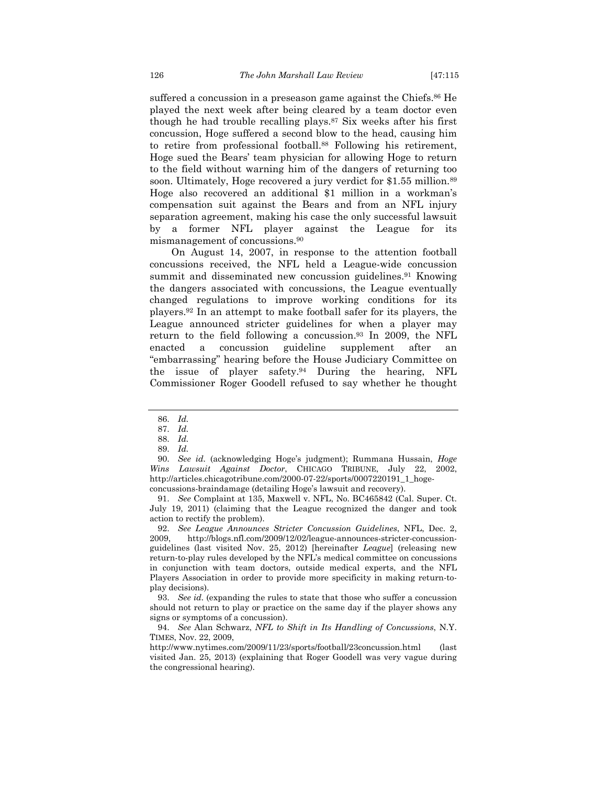suffered a concussion in a preseason game against the Chiefs.<sup>86</sup> He played the next week after being cleared by a team doctor even though he had trouble recalling plays.87 Six weeks after his first concussion, Hoge suffered a second blow to the head, causing him to retire from professional football.88 Following his retirement, Hoge sued the Bears' team physician for allowing Hoge to return to the field without warning him of the dangers of returning too soon. Ultimately, Hoge recovered a jury verdict for \$1.55 million.<sup>89</sup> Hoge also recovered an additional \$1 million in a workman's compensation suit against the Bears and from an NFL injury separation agreement, making his case the only successful lawsuit by a former NFL player against the League for its mismanagement of concussions.90

On August 14, 2007, in response to the attention football concussions received, the NFL held a League-wide concussion summit and disseminated new concussion guidelines.<sup>91</sup> Knowing the dangers associated with concussions, the League eventually changed regulations to improve working conditions for its players.92 In an attempt to make football safer for its players, the League announced stricter guidelines for when a player may return to the field following a concussion.93 In 2009, the NFL enacted a concussion guideline supplement after an "embarrassing" hearing before the House Judiciary Committee on the issue of player safety.94 During the hearing, NFL Commissioner Roger Goodell refused to say whether he thought

 91. *See* Complaint at 135, Maxwell v. NFL, No. BC465842 (Cal. Super. Ct. July 19, 2011) (claiming that the League recognized the danger and took action to rectify the problem).

 92. *See League Announces Stricter Concussion Guidelines*, NFL, Dec. 2, 2009, http://blogs.nfl.com/2009/12/02/league-announces-stricter-concussionguidelines (last visited Nov. 25, 2012) [hereinafter *League*] (releasing new return-to-play rules developed by the NFL's medical committee on concussions in conjunction with team doctors, outside medical experts, and the NFL Players Association in order to provide more specificity in making return-toplay decisions).

 93. *See id.* (expanding the rules to state that those who suffer a concussion should not return to play or practice on the same day if the player shows any signs or symptoms of a concussion).

 94. *See* Alan Schwarz, *NFL to Shift in Its Handling of Concussions*, N.Y. TIMES, Nov. 22, 2009,

http://www.nytimes.com/2009/11/23/sports/football/23concussion.html (last visited Jan. 25, 2013) (explaining that Roger Goodell was very vague during the congressional hearing).

 <sup>86.</sup> *Id.*

 <sup>87.</sup> *Id.*

 <sup>88.</sup> *Id.*

 <sup>89.</sup> *Id.*

 <sup>90.</sup> *See id.* (acknowledging Hoge's judgment); Rummana Hussain, *Hoge Wins Lawsuit Against Doctor*, CHICAGO TRIBUNE, July 22, 2002, http://articles.chicagotribune.com/2000-07-22/sports/0007220191\_1\_hogeconcussions-braindamage (detailing Hoge's lawsuit and recovery).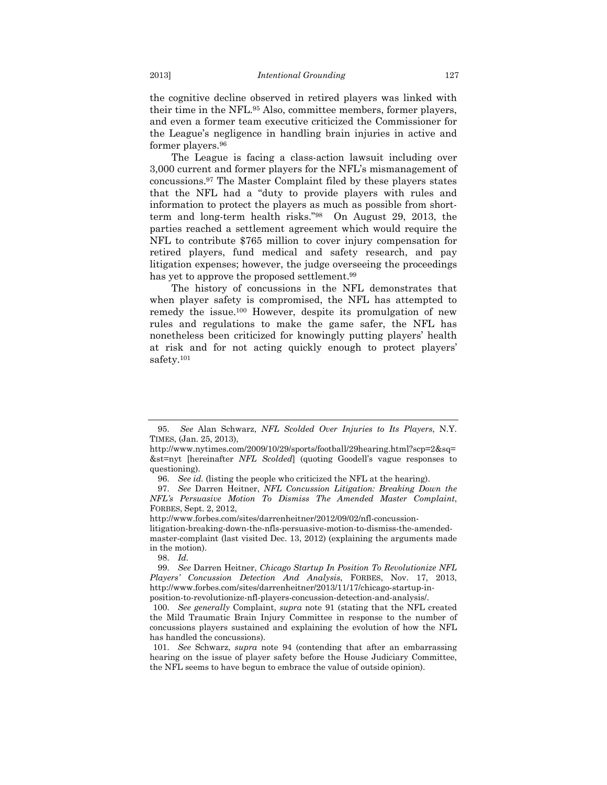the cognitive decline observed in retired players was linked with their time in the NFL.95 Also, committee members, former players, and even a former team executive criticized the Commissioner for the League's negligence in handling brain injuries in active and former players.96

The League is facing a class-action lawsuit including over 3,000 current and former players for the NFL's mismanagement of concussions.97 The Master Complaint filed by these players states that the NFL had a "duty to provide players with rules and information to protect the players as much as possible from shortterm and long-term health risks."98 On August 29, 2013, the parties reached a settlement agreement which would require the NFL to contribute \$765 million to cover injury compensation for retired players, fund medical and safety research, and pay litigation expenses; however, the judge overseeing the proceedings has yet to approve the proposed settlement.<sup>99</sup>

The history of concussions in the NFL demonstrates that when player safety is compromised, the NFL has attempted to remedy the issue.100 However, despite its promulgation of new rules and regulations to make the game safer, the NFL has nonetheless been criticized for knowingly putting players' health at risk and for not acting quickly enough to protect players' safety.101

 <sup>95.</sup> *See* Alan Schwarz, *NFL Scolded Over Injuries to Its Players*, N.Y. TIMES, (Jan. 25, 2013),

http://www.nytimes.com/2009/10/29/sports/football/29hearing.html?scp=2&sq= &st=nyt [hereinafter *NFL Scolded*] (quoting Goodell's vague responses to questioning).

 <sup>96.</sup> *See id.* (listing the people who criticized the NFL at the hearing).

 <sup>97.</sup> *See* Darren Heitner, *NFL Concussion Litigation: Breaking Down the NFL's Persuasive Motion To Dismiss The Amended Master Complaint*, FORBES, Sept. 2, 2012,

http://www.forbes.com/sites/darrenheitner/2012/09/02/nfl-concussion-

litigation-breaking-down-the-nfls-persuasive-motion-to-dismiss-the-amendedmaster-complaint (last visited Dec. 13, 2012) (explaining the arguments made in the motion).

 <sup>98.</sup> *Id.*

 <sup>99.</sup> *See* Darren Heitner, *Chicago Startup In Position To Revolutionize NFL Players' Concussion Detection And Analysis*, FORBES, Nov. 17, 2013, http://www.forbes.com/sites/darrenheitner/2013/11/17/chicago-startup-inposition-to-revolutionize-nfl-players-concussion-detection-and-analysis/.

 <sup>100.</sup> *See generally* Complaint, *supra* note 91 (stating that the NFL created the Mild Traumatic Brain Injury Committee in response to the number of concussions players sustained and explaining the evolution of how the NFL has handled the concussions).

 <sup>101.</sup> *See* Schwarz, *supra* note 94 (contending that after an embarrassing hearing on the issue of player safety before the House Judiciary Committee, the NFL seems to have begun to embrace the value of outside opinion).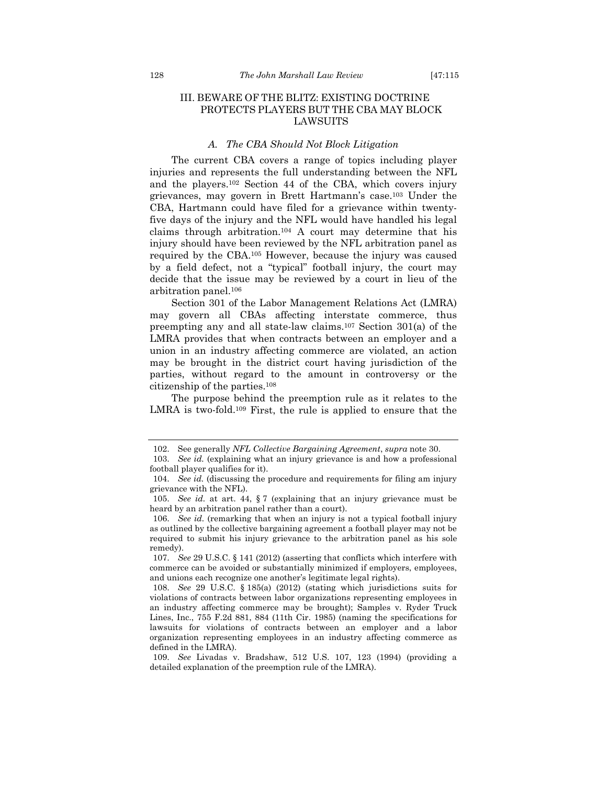### III. BEWARE OF THE BLITZ: EXISTING DOCTRINE PROTECTS PLAYERS BUT THE CBA MAY BLOCK LAWSUITS

#### *A. The CBA Should Not Block Litigation*

The current CBA covers a range of topics including player injuries and represents the full understanding between the NFL and the players.102 Section 44 of the CBA, which covers injury grievances, may govern in Brett Hartmann's case.103 Under the CBA, Hartmann could have filed for a grievance within twentyfive days of the injury and the NFL would have handled his legal claims through arbitration.104 A court may determine that his injury should have been reviewed by the NFL arbitration panel as required by the CBA.105 However, because the injury was caused by a field defect, not a "typical" football injury, the court may decide that the issue may be reviewed by a court in lieu of the arbitration panel.106

Section 301 of the Labor Management Relations Act (LMRA) may govern all CBAs affecting interstate commerce, thus preempting any and all state-law claims.107 Section 301(a) of the LMRA provides that when contracts between an employer and a union in an industry affecting commerce are violated, an action may be brought in the district court having jurisdiction of the parties, without regard to the amount in controversy or the citizenship of the parties.108

The purpose behind the preemption rule as it relates to the LMRA is two-fold.109 First, the rule is applied to ensure that the

 <sup>102.</sup> See generally *NFL Collective Bargaining Agreement*, *supra* note 30.

 <sup>103.</sup> *See id.* (explaining what an injury grievance is and how a professional football player qualifies for it).

 <sup>104.</sup> *See id.* (discussing the procedure and requirements for filing am injury grievance with the NFL).

 <sup>105.</sup> *See id.* at art. 44, § 7 (explaining that an injury grievance must be heard by an arbitration panel rather than a court).

 <sup>106.</sup> *See id.* (remarking that when an injury is not a typical football injury as outlined by the collective bargaining agreement a football player may not be required to submit his injury grievance to the arbitration panel as his sole remedy).

 <sup>107.</sup> *See* 29 U.S.C. § 141 (2012) (asserting that conflicts which interfere with commerce can be avoided or substantially minimized if employers, employees, and unions each recognize one another's legitimate legal rights).

 <sup>108.</sup> *See* 29 U.S.C. § 185(a) (2012) (stating which jurisdictions suits for violations of contracts between labor organizations representing employees in an industry affecting commerce may be brought); Samples v. Ryder Truck Lines, Inc., 755 F.2d 881, 884 (11th Cir. 1985) (naming the specifications for lawsuits for violations of contracts between an employer and a labor organization representing employees in an industry affecting commerce as defined in the LMRA).

 <sup>109.</sup> *See* Livadas v. Bradshaw, 512 U.S. 107, 123 (1994) (providing a detailed explanation of the preemption rule of the LMRA).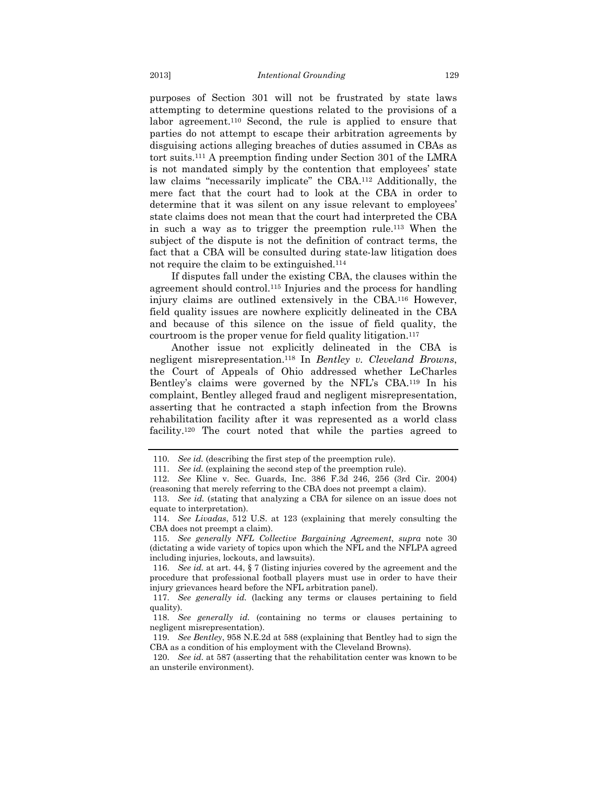purposes of Section 301 will not be frustrated by state laws attempting to determine questions related to the provisions of a labor agreement.110 Second, the rule is applied to ensure that parties do not attempt to escape their arbitration agreements by disguising actions alleging breaches of duties assumed in CBAs as tort suits.111 A preemption finding under Section 301 of the LMRA is not mandated simply by the contention that employees' state law claims "necessarily implicate" the CBA.112 Additionally, the mere fact that the court had to look at the CBA in order to determine that it was silent on any issue relevant to employees' state claims does not mean that the court had interpreted the CBA in such a way as to trigger the preemption rule.113 When the subject of the dispute is not the definition of contract terms, the fact that a CBA will be consulted during state-law litigation does not require the claim to be extinguished.114

If disputes fall under the existing CBA, the clauses within the agreement should control.115 Injuries and the process for handling injury claims are outlined extensively in the CBA.116 However, field quality issues are nowhere explicitly delineated in the CBA and because of this silence on the issue of field quality, the courtroom is the proper venue for field quality litigation.117

Another issue not explicitly delineated in the CBA is negligent misrepresentation.118 In *Bentley v. Cleveland Browns*, the Court of Appeals of Ohio addressed whether LeCharles Bentley's claims were governed by the NFL's CBA.119 In his complaint, Bentley alleged fraud and negligent misrepresentation, asserting that he contracted a staph infection from the Browns rehabilitation facility after it was represented as a world class facility.120 The court noted that while the parties agreed to

 <sup>110.</sup> *See id.* (describing the first step of the preemption rule).

 <sup>111.</sup> *See id.* (explaining the second step of the preemption rule).

 <sup>112.</sup> *See* Kline v. Sec. Guards, Inc. 386 F.3d 246, 256 (3rd Cir. 2004) (reasoning that merely referring to the CBA does not preempt a claim).

 <sup>113.</sup> *See id.* (stating that analyzing a CBA for silence on an issue does not equate to interpretation).

 <sup>114.</sup> *See Livadas*, 512 U.S. at 123 (explaining that merely consulting the CBA does not preempt a claim).

 <sup>115.</sup> *See generally NFL Collective Bargaining Agreement*, *supra* note 30 (dictating a wide variety of topics upon which the NFL and the NFLPA agreed including injuries, lockouts, and lawsuits).

 <sup>116.</sup> *See id.* at art. 44, § 7 (listing injuries covered by the agreement and the procedure that professional football players must use in order to have their injury grievances heard before the NFL arbitration panel).

 <sup>117.</sup> *See generally id.* (lacking any terms or clauses pertaining to field quality).

 <sup>118.</sup> *See generally id.* (containing no terms or clauses pertaining to negligent misrepresentation).

 <sup>119.</sup> *See Bentley*, 958 N.E.2d at 588 (explaining that Bentley had to sign the CBA as a condition of his employment with the Cleveland Browns).

 <sup>120.</sup> *See id.* at 587 (asserting that the rehabilitation center was known to be an unsterile environment).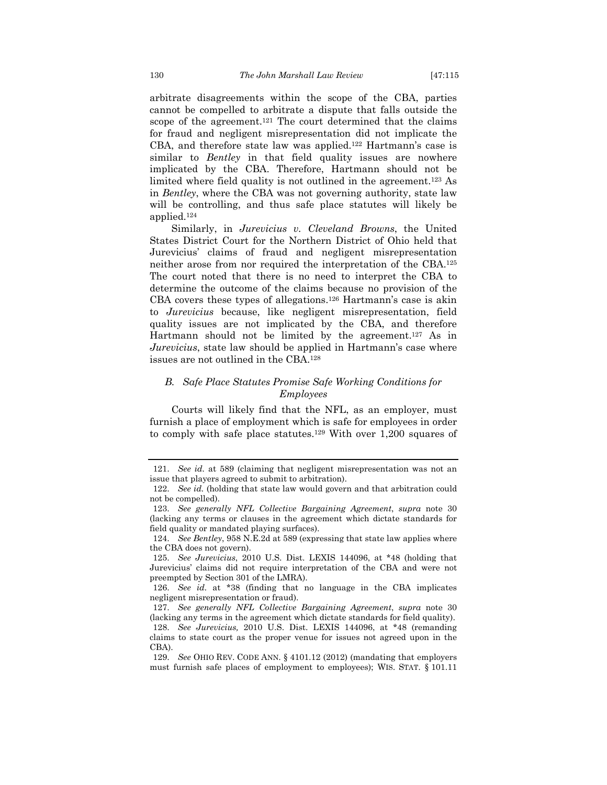arbitrate disagreements within the scope of the CBA, parties cannot be compelled to arbitrate a dispute that falls outside the scope of the agreement.<sup>121</sup> The court determined that the claims for fraud and negligent misrepresentation did not implicate the CBA, and therefore state law was applied.122 Hartmann's case is similar to *Bentley* in that field quality issues are nowhere implicated by the CBA. Therefore, Hartmann should not be limited where field quality is not outlined in the agreement.123 As in *Bentley*, where the CBA was not governing authority, state law will be controlling, and thus safe place statutes will likely be applied.124

Similarly, in *Jurevicius v. Cleveland Browns*, the United States District Court for the Northern District of Ohio held that Jurevicius' claims of fraud and negligent misrepresentation neither arose from nor required the interpretation of the CBA.125 The court noted that there is no need to interpret the CBA to determine the outcome of the claims because no provision of the CBA covers these types of allegations.126 Hartmann's case is akin to *Jurevicius* because, like negligent misrepresentation, field quality issues are not implicated by the CBA, and therefore Hartmann should not be limited by the agreement.127 As in *Jurevicius*, state law should be applied in Hartmann's case where issues are not outlined in the CBA.128

#### *B. Safe Place Statutes Promise Safe Working Conditions for Employees*

Courts will likely find that the NFL, as an employer, must furnish a place of employment which is safe for employees in order to comply with safe place statutes.129 With over 1,200 squares of

 <sup>121.</sup> *See id.* at 589 (claiming that negligent misrepresentation was not an issue that players agreed to submit to arbitration).

 <sup>122.</sup> *See id.* (holding that state law would govern and that arbitration could not be compelled).

 <sup>123.</sup> *See generally NFL Collective Bargaining Agreement*, *supra* note 30 (lacking any terms or clauses in the agreement which dictate standards for field quality or mandated playing surfaces).

 <sup>124.</sup> *See Bentley*, 958 N.E.2d at 589 (expressing that state law applies where the CBA does not govern).

 <sup>125.</sup> *See Jurevicius*, 2010 U.S. Dist. LEXIS 144096, at \*48 (holding that Jurevicius' claims did not require interpretation of the CBA and were not preempted by Section 301 of the LMRA).

 <sup>126.</sup> *See id.* at \*38 (finding that no language in the CBA implicates negligent misrepresentation or fraud).

 <sup>127.</sup> *See generally NFL Collective Bargaining Agreement*, *supra* note 30 (lacking any terms in the agreement which dictate standards for field quality).

 <sup>128.</sup> *See Jurevicius,* 2010 U.S. Dist. LEXIS 144096, at \*48 (remanding claims to state court as the proper venue for issues not agreed upon in the CBA).

 <sup>129.</sup> *See* OHIO REV. CODE ANN. § 4101.12 (2012) (mandating that employers must furnish safe places of employment to employees); WIS. STAT. § 101.11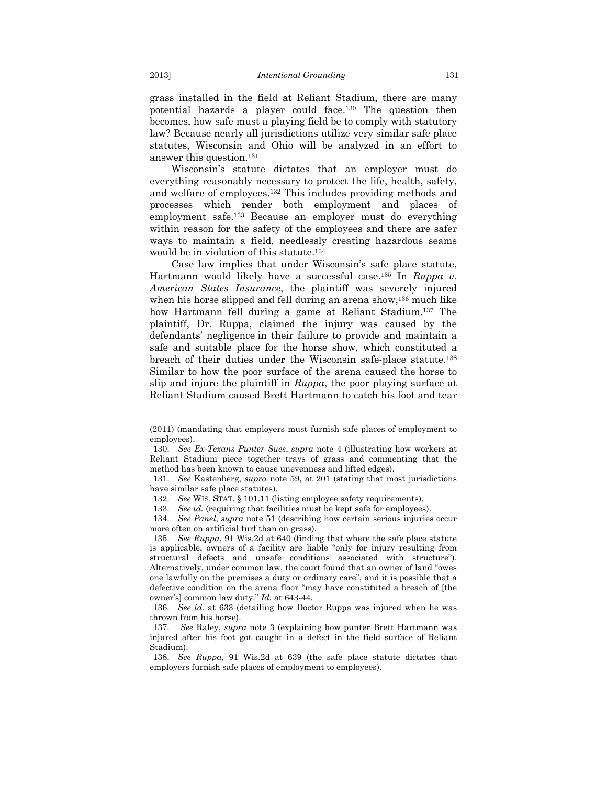grass installed in the field at Reliant Stadium, there are many potential hazards a player could face.130 The question then becomes, how safe must a playing field be to comply with statutory law? Because nearly all jurisdictions utilize very similar safe place statutes, Wisconsin and Ohio will be analyzed in an effort to answer this question.131

Wisconsin's statute dictates that an employer must do everything reasonably necessary to protect the life, health, safety, and welfare of employees.132 This includes providing methods and processes which render both employment and places of employment safe.133 Because an employer must do everything within reason for the safety of the employees and there are safer ways to maintain a field, needlessly creating hazardous seams would be in violation of this statute.134

Case law implies that under Wisconsin's safe place statute, Hartmann would likely have a successful case.135 In *Ruppa v. American States Insurance*, the plaintiff was severely injured when his horse slipped and fell during an arena show,<sup>136</sup> much like how Hartmann fell during a game at Reliant Stadium.137 The plaintiff, Dr. Ruppa, claimed the injury was caused by the defendants' negligence in their failure to provide and maintain a safe and suitable place for the horse show, which constituted a breach of their duties under the Wisconsin safe-place statute.138 Similar to how the poor surface of the arena caused the horse to slip and injure the plaintiff in *Ruppa*, the poor playing surface at Reliant Stadium caused Brett Hartmann to catch his foot and tear

<sup>(2011) (</sup>mandating that employers must furnish safe places of employment to employees).

 <sup>130.</sup> *See Ex-Texans Punter Sues*, *supra* note 4 (illustrating how workers at Reliant Stadium piece together trays of grass and commenting that the method has been known to cause unevenness and lifted edges).

 <sup>131.</sup> *See* Kastenberg, *supra* note 59, at 201 (stating that most jurisdictions have similar safe place statutes).

 <sup>132.</sup> *See* WIS. STAT. § 101.11 (listing employee safety requirements).

 <sup>133.</sup> *See id.* (requiring that facilities must be kept safe for employees).

 <sup>134.</sup> *See Panel*, *supra* note 51 (describing how certain serious injuries occur more often on artificial turf than on grass).

 <sup>135.</sup> *See Ruppa*, 91 Wis.2d at 640 (finding that where the safe place statute is applicable, owners of a facility are liable "only for injury resulting from structural defects and unsafe conditions associated with structure"). Alternatively, under common law, the court found that an owner of land "owes one lawfully on the premises a duty or ordinary care", and it is possible that a defective condition on the arena floor "may have constituted a breach of [the owner's] common law duty." *Id.* at 643-44.

 <sup>136.</sup> *See id.* at 633 (detailing how Doctor Ruppa was injured when he was thrown from his horse).

 <sup>137.</sup> *See* Raley, *supra* note 3 (explaining how punter Brett Hartmann was injured after his foot got caught in a defect in the field surface of Reliant Stadium).

 <sup>138.</sup> *See Ruppa*, 91 Wis.2d at 639 (the safe place statute dictates that employers furnish safe places of employment to employees).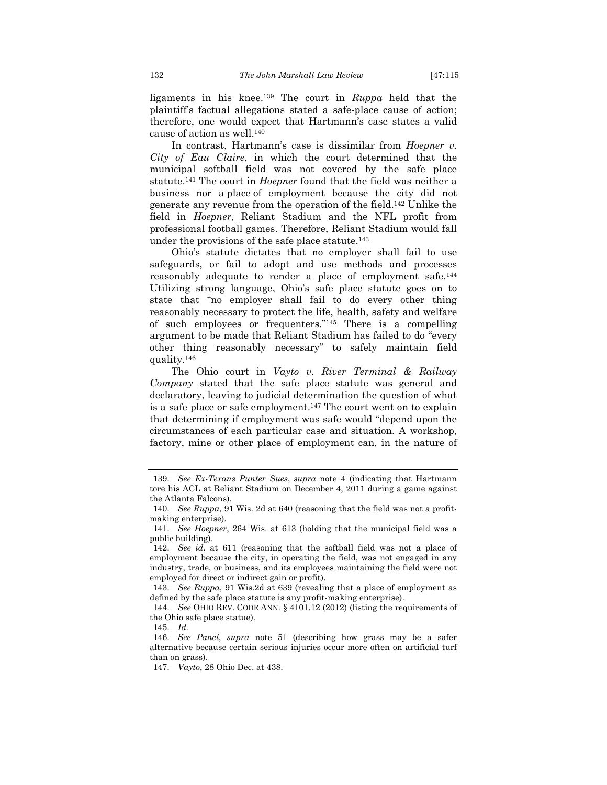ligaments in his knee.139 The court in *Ruppa* held that the plaintiff's factual allegations stated a safe-place cause of action; therefore, one would expect that Hartmann's case states a valid cause of action as well.140

In contrast, Hartmann's case is dissimilar from *Hoepner v. City of Eau Claire*, in which the court determined that the municipal softball field was not covered by the safe place statute.141 The court in *Hoepner* found that the field was neither a business nor a place of employment because the city did not generate any revenue from the operation of the field.142 Unlike the field in *Hoepner*, Reliant Stadium and the NFL profit from professional football games. Therefore, Reliant Stadium would fall under the provisions of the safe place statute.143

Ohio's statute dictates that no employer shall fail to use safeguards, or fail to adopt and use methods and processes reasonably adequate to render a place of employment safe.144 Utilizing strong language, Ohio's safe place statute goes on to state that "no employer shall fail to do every other thing reasonably necessary to protect the life, health, safety and welfare of such employees or frequenters."145 There is a compelling argument to be made that Reliant Stadium has failed to do "every other thing reasonably necessary" to safely maintain field quality.146

The Ohio court in *Vayto v. River Terminal & Railway Company* stated that the safe place statute was general and declaratory, leaving to judicial determination the question of what is a safe place or safe employment.147 The court went on to explain that determining if employment was safe would "depend upon the circumstances of each particular case and situation. A workshop, factory, mine or other place of employment can, in the nature of

 <sup>139.</sup> *See Ex-Texans Punter Sues*, *supra* note 4 (indicating that Hartmann tore his ACL at Reliant Stadium on December 4, 2011 during a game against the Atlanta Falcons).

 <sup>140.</sup> *See Ruppa*, 91 Wis. 2d at 640 (reasoning that the field was not a profitmaking enterprise).

 <sup>141.</sup> *See Hoepner*, 264 Wis. at 613 (holding that the municipal field was a public building).

 <sup>142.</sup> *See id.* at 611 (reasoning that the softball field was not a place of employment because the city, in operating the field, was not engaged in any industry, trade, or business, and its employees maintaining the field were not employed for direct or indirect gain or profit).

 <sup>143.</sup> *See Ruppa*, 91 Wis.2d at 639 (revealing that a place of employment as defined by the safe place statute is any profit-making enterprise).

 <sup>144.</sup> *See* OHIO REV. CODE ANN. § 4101.12 (2012) (listing the requirements of the Ohio safe place statue).

 <sup>145.</sup> *Id.*

 <sup>146.</sup> *See Panel*, *supra* note 51 (describing how grass may be a safer alternative because certain serious injuries occur more often on artificial turf than on grass).

 <sup>147.</sup> *Vayto*, 28 Ohio Dec. at 438.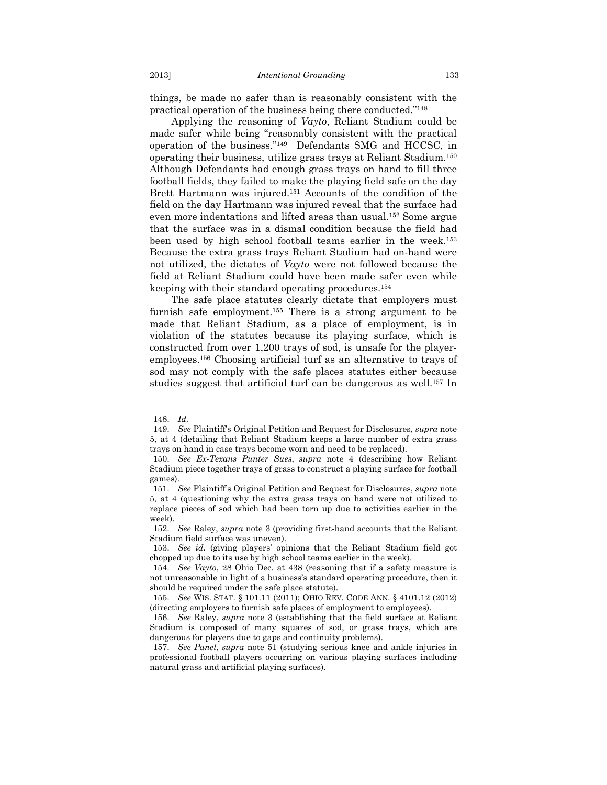things, be made no safer than is reasonably consistent with the practical operation of the business being there conducted."148

Applying the reasoning of *Vayto*, Reliant Stadium could be made safer while being "reasonably consistent with the practical operation of the business."149 Defendants SMG and HCCSC, in operating their business, utilize grass trays at Reliant Stadium.150 Although Defendants had enough grass trays on hand to fill three football fields, they failed to make the playing field safe on the day Brett Hartmann was injured.151 Accounts of the condition of the field on the day Hartmann was injured reveal that the surface had even more indentations and lifted areas than usual.152 Some argue that the surface was in a dismal condition because the field had been used by high school football teams earlier in the week.153 Because the extra grass trays Reliant Stadium had on-hand were not utilized, the dictates of *Vayto* were not followed because the field at Reliant Stadium could have been made safer even while keeping with their standard operating procedures.154

The safe place statutes clearly dictate that employers must furnish safe employment.155 There is a strong argument to be made that Reliant Stadium, as a place of employment, is in violation of the statutes because its playing surface, which is constructed from over 1,200 trays of sod, is unsafe for the playeremployees.156 Choosing artificial turf as an alternative to trays of sod may not comply with the safe places statutes either because studies suggest that artificial turf can be dangerous as well.157 In

 <sup>148.</sup> *Id.*

 <sup>149.</sup> *See* Plaintiff's Original Petition and Request for Disclosures, *supra* note 5, at 4 (detailing that Reliant Stadium keeps a large number of extra grass trays on hand in case trays become worn and need to be replaced).

 <sup>150.</sup> *See Ex-Texans Punter Sues*, *supra* note 4 (describing how Reliant Stadium piece together trays of grass to construct a playing surface for football games).

 <sup>151.</sup> *See* Plaintiff's Original Petition and Request for Disclosures, *supra* note 5, at 4 (questioning why the extra grass trays on hand were not utilized to replace pieces of sod which had been torn up due to activities earlier in the week).

 <sup>152.</sup> *See* Raley, *supra* note 3 (providing first-hand accounts that the Reliant Stadium field surface was uneven).

 <sup>153.</sup> *See id.* (giving players' opinions that the Reliant Stadium field got chopped up due to its use by high school teams earlier in the week).

 <sup>154.</sup> *See Vayto*, 28 Ohio Dec. at 438 (reasoning that if a safety measure is not unreasonable in light of a business's standard operating procedure, then it should be required under the safe place statute).

 <sup>155.</sup> *See* WIS. STAT. § 101.11 (2011); OHIO REV. CODE ANN. § 4101.12 (2012) (directing employers to furnish safe places of employment to employees).

 <sup>156.</sup> *See* Raley, *supra* note 3 (establishing that the field surface at Reliant Stadium is composed of many squares of sod, or grass trays, which are dangerous for players due to gaps and continuity problems).

 <sup>157.</sup> *See Panel*, *supra* note 51 (studying serious knee and ankle injuries in professional football players occurring on various playing surfaces including natural grass and artificial playing surfaces).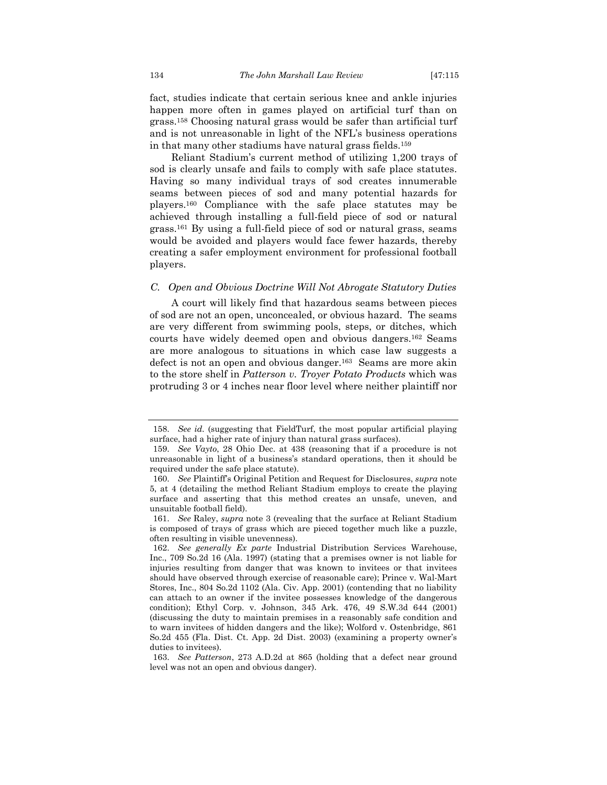fact, studies indicate that certain serious knee and ankle injuries happen more often in games played on artificial turf than on grass.158 Choosing natural grass would be safer than artificial turf and is not unreasonable in light of the NFL's business operations in that many other stadiums have natural grass fields.159

Reliant Stadium's current method of utilizing 1,200 trays of sod is clearly unsafe and fails to comply with safe place statutes. Having so many individual trays of sod creates innumerable seams between pieces of sod and many potential hazards for players.160 Compliance with the safe place statutes may be achieved through installing a full-field piece of sod or natural grass.161 By using a full-field piece of sod or natural grass, seams would be avoided and players would face fewer hazards, thereby creating a safer employment environment for professional football players.

#### *C. Open and Obvious Doctrine Will Not Abrogate Statutory Duties*

A court will likely find that hazardous seams between pieces of sod are not an open, unconcealed, or obvious hazard. The seams are very different from swimming pools, steps, or ditches, which courts have widely deemed open and obvious dangers.162 Seams are more analogous to situations in which case law suggests a defect is not an open and obvious danger.163 Seams are more akin to the store shelf in *Patterson v. Troyer Potato Products* which was protruding 3 or 4 inches near floor level where neither plaintiff nor

 <sup>158.</sup> *See id.* (suggesting that FieldTurf, the most popular artificial playing surface, had a higher rate of injury than natural grass surfaces).

 <sup>159.</sup> *See Vayto*, 28 Ohio Dec. at 438 (reasoning that if a procedure is not unreasonable in light of a business's standard operations, then it should be required under the safe place statute).

 <sup>160.</sup> *See* Plaintiff's Original Petition and Request for Disclosures, *supra* note 5, at 4 (detailing the method Reliant Stadium employs to create the playing surface and asserting that this method creates an unsafe, uneven, and unsuitable football field).

 <sup>161.</sup> *See* Raley, *supra* note 3 (revealing that the surface at Reliant Stadium is composed of trays of grass which are pieced together much like a puzzle, often resulting in visible unevenness).

 <sup>162.</sup> *See generally Ex parte* Industrial Distribution Services Warehouse, Inc., 709 So.2d 16 (Ala. 1997) (stating that a premises owner is not liable for injuries resulting from danger that was known to invitees or that invitees should have observed through exercise of reasonable care); Prince v. Wal-Mart Stores, Inc., 804 So.2d 1102 (Ala. Civ. App. 2001) (contending that no liability can attach to an owner if the invitee possesses knowledge of the dangerous condition); Ethyl Corp. v. Johnson, 345 Ark. 476, 49 S.W.3d 644 (2001) (discussing the duty to maintain premises in a reasonably safe condition and to warn invitees of hidden dangers and the like); Wolford v. Ostenbridge, 861 So.2d 455 (Fla. Dist. Ct. App. 2d Dist. 2003) (examining a property owner's duties to invitees).

 <sup>163.</sup> *See Patterson*, 273 A.D.2d at 865 (holding that a defect near ground level was not an open and obvious danger).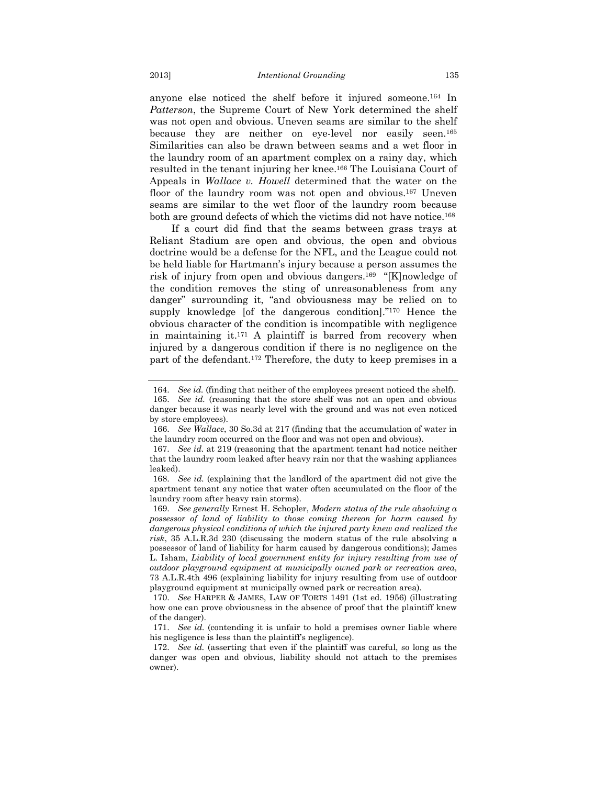anyone else noticed the shelf before it injured someone.164 In *Patterson*, the Supreme Court of New York determined the shelf was not open and obvious. Uneven seams are similar to the shelf because they are neither on eye-level nor easily seen.165 Similarities can also be drawn between seams and a wet floor in the laundry room of an apartment complex on a rainy day, which resulted in the tenant injuring her knee.166 The Louisiana Court of Appeals in *Wallace v. Howell* determined that the water on the floor of the laundry room was not open and obvious.<sup>167</sup> Uneven seams are similar to the wet floor of the laundry room because both are ground defects of which the victims did not have notice.168

If a court did find that the seams between grass trays at Reliant Stadium are open and obvious, the open and obvious doctrine would be a defense for the NFL, and the League could not be held liable for Hartmann's injury because a person assumes the risk of injury from open and obvious dangers.169 "[K]nowledge of the condition removes the sting of unreasonableness from any danger" surrounding it, "and obviousness may be relied on to supply knowledge [of the dangerous condition]."170 Hence the obvious character of the condition is incompatible with negligence in maintaining it.171 A plaintiff is barred from recovery when injured by a dangerous condition if there is no negligence on the part of the defendant.172 Therefore, the duty to keep premises in a

 <sup>164.</sup> *See id.* (finding that neither of the employees present noticed the shelf). 165. *See id.* (reasoning that the store shelf was not an open and obvious danger because it was nearly level with the ground and was not even noticed by store employees).

 <sup>166.</sup> *See Wallace*, 30 So.3d at 217 (finding that the accumulation of water in the laundry room occurred on the floor and was not open and obvious).

 <sup>167.</sup> *See id.* at 219 (reasoning that the apartment tenant had notice neither that the laundry room leaked after heavy rain nor that the washing appliances leaked).

 <sup>168.</sup> *See id.* (explaining that the landlord of the apartment did not give the apartment tenant any notice that water often accumulated on the floor of the laundry room after heavy rain storms).

 <sup>169.</sup> *See generally* Ernest H. Schopler, *Modern status of the rule absolving a possessor of land of liability to those coming thereon for harm caused by dangerous physical conditions of which the injured party knew and realized the risk*, 35 A.L.R.3d 230 (discussing the modern status of the rule absolving a possessor of land of liability for harm caused by dangerous conditions); James L. Isham, *Liability of local government entity for injury resulting from use of outdoor playground equipment at municipally owned park or recreation area*, 73 A.L.R.4th 496 (explaining liability for injury resulting from use of outdoor playground equipment at municipally owned park or recreation area).

 <sup>170.</sup> *See* HARPER & JAMES, LAW OF TORTS 1491 (1st ed. 1956) (illustrating how one can prove obviousness in the absence of proof that the plaintiff knew of the danger).

 <sup>171.</sup> *See id.* (contending it is unfair to hold a premises owner liable where his negligence is less than the plaintiff's negligence).

 <sup>172.</sup> *See id.* (asserting that even if the plaintiff was careful, so long as the danger was open and obvious, liability should not attach to the premises owner).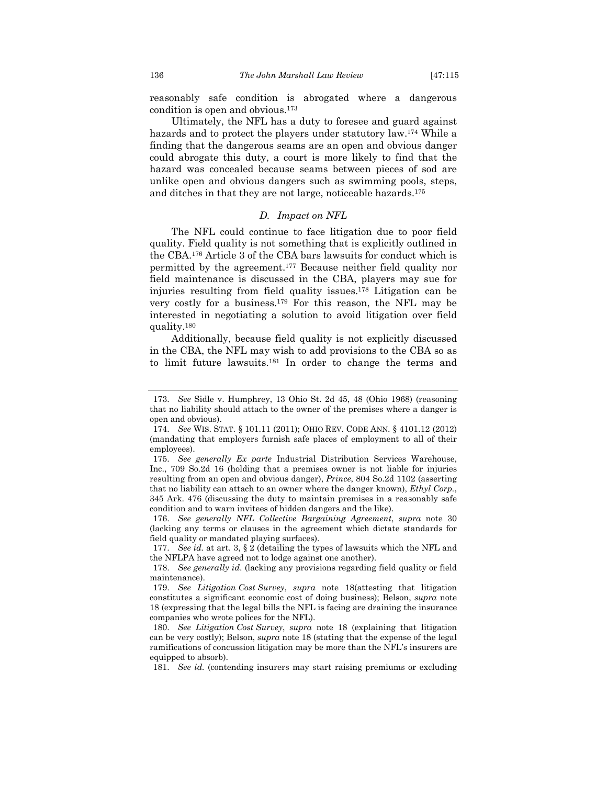reasonably safe condition is abrogated where a dangerous condition is open and obvious.173

Ultimately, the NFL has a duty to foresee and guard against hazards and to protect the players under statutory law.174 While a finding that the dangerous seams are an open and obvious danger could abrogate this duty, a court is more likely to find that the hazard was concealed because seams between pieces of sod are unlike open and obvious dangers such as swimming pools, steps, and ditches in that they are not large, noticeable hazards.175

#### *D. Impact on NFL*

The NFL could continue to face litigation due to poor field quality. Field quality is not something that is explicitly outlined in the CBA.176 Article 3 of the CBA bars lawsuits for conduct which is permitted by the agreement.177 Because neither field quality nor field maintenance is discussed in the CBA, players may sue for injuries resulting from field quality issues.178 Litigation can be very costly for a business.179 For this reason, the NFL may be interested in negotiating a solution to avoid litigation over field quality.180

Additionally, because field quality is not explicitly discussed in the CBA, the NFL may wish to add provisions to the CBA so as to limit future lawsuits.181 In order to change the terms and

 <sup>173.</sup> *See* Sidle v. Humphrey, 13 Ohio St. 2d 45, 48 (Ohio 1968) (reasoning that no liability should attach to the owner of the premises where a danger is open and obvious).

 <sup>174.</sup> *See* WIS. STAT. § 101.11 (2011); OHIO REV. CODE ANN. § 4101.12 (2012) (mandating that employers furnish safe places of employment to all of their employees).

 <sup>175.</sup> *See generally Ex parte* Industrial Distribution Services Warehouse, Inc., 709 So.2d 16 (holding that a premises owner is not liable for injuries resulting from an open and obvious danger), *Prince*, 804 So.2d 1102 (asserting that no liability can attach to an owner where the danger known), *Ethyl Corp.*, 345 Ark. 476 (discussing the duty to maintain premises in a reasonably safe condition and to warn invitees of hidden dangers and the like).

 <sup>176.</sup> *See generally NFL Collective Bargaining Agreement*, *supra* note 30 (lacking any terms or clauses in the agreement which dictate standards for field quality or mandated playing surfaces).

 <sup>177.</sup> *See id.* at art. 3, § 2 (detailing the types of lawsuits which the NFL and the NFLPA have agreed not to lodge against one another).

 <sup>178.</sup> *See generally id*. (lacking any provisions regarding field quality or field maintenance).

 <sup>179.</sup> *See Litigation Cost Survey*, *supra* note 18(attesting that litigation constitutes a significant economic cost of doing business); Belson, *supra* note 18 (expressing that the legal bills the NFL is facing are draining the insurance companies who wrote polices for the NFL).

 <sup>180.</sup> *See Litigation Cost Survey*, *supra* note 18 (explaining that litigation can be very costly); Belson, *supra* note 18 (stating that the expense of the legal ramifications of concussion litigation may be more than the NFL's insurers are equipped to absorb).

 <sup>181.</sup> *See id.* (contending insurers may start raising premiums or excluding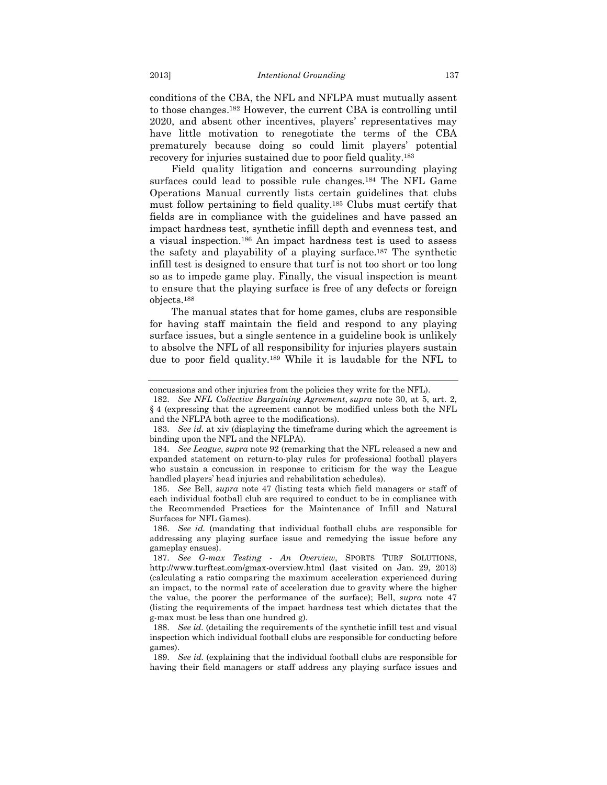conditions of the CBA, the NFL and NFLPA must mutually assent to those changes.182 However, the current CBA is controlling until 2020, and absent other incentives, players' representatives may have little motivation to renegotiate the terms of the CBA prematurely because doing so could limit players' potential recovery for injuries sustained due to poor field quality.183

Field quality litigation and concerns surrounding playing surfaces could lead to possible rule changes.184 The NFL Game Operations Manual currently lists certain guidelines that clubs must follow pertaining to field quality.185 Clubs must certify that fields are in compliance with the guidelines and have passed an impact hardness test, synthetic infill depth and evenness test, and a visual inspection.186 An impact hardness test is used to assess the safety and playability of a playing surface.187 The synthetic infill test is designed to ensure that turf is not too short or too long so as to impede game play. Finally, the visual inspection is meant to ensure that the playing surface is free of any defects or foreign objects.188

The manual states that for home games, clubs are responsible for having staff maintain the field and respond to any playing surface issues, but a single sentence in a guideline book is unlikely to absolve the NFL of all responsibility for injuries players sustain due to poor field quality.189 While it is laudable for the NFL to

concussions and other injuries from the policies they write for the NFL).

 <sup>182.</sup> *See NFL Collective Bargaining Agreement*, *supra* note 30, at 5, art. 2, § 4 (expressing that the agreement cannot be modified unless both the NFL and the NFLPA both agree to the modifications).

 <sup>183.</sup> *See id.* at xiv (displaying the timeframe during which the agreement is binding upon the NFL and the NFLPA).

 <sup>184.</sup> *See League*, *supra* note 92 (remarking that the NFL released a new and expanded statement on return-to-play rules for professional football players who sustain a concussion in response to criticism for the way the League handled players' head injuries and rehabilitation schedules).

 <sup>185.</sup> *See* Bell, *supra* note 47 (listing tests which field managers or staff of each individual football club are required to conduct to be in compliance with the Recommended Practices for the Maintenance of Infill and Natural Surfaces for NFL Games).

 <sup>186.</sup> *See id.* (mandating that individual football clubs are responsible for addressing any playing surface issue and remedying the issue before any gameplay ensues).

 <sup>187.</sup> *See G-max Testing - An Overview*, SPORTS TURF SOLUTIONS, http://www.turftest.com/gmax-overview.html (last visited on Jan. 29, 2013) (calculating a ratio comparing the maximum acceleration experienced during an impact, to the normal rate of acceleration due to gravity where the higher the value, the poorer the performance of the surface); Bell, *supra* note 47 (listing the requirements of the impact hardness test which dictates that the g-max must be less than one hundred g).

 <sup>188.</sup> *See id.* (detailing the requirements of the synthetic infill test and visual inspection which individual football clubs are responsible for conducting before games).

 <sup>189.</sup> *See id.* (explaining that the individual football clubs are responsible for having their field managers or staff address any playing surface issues and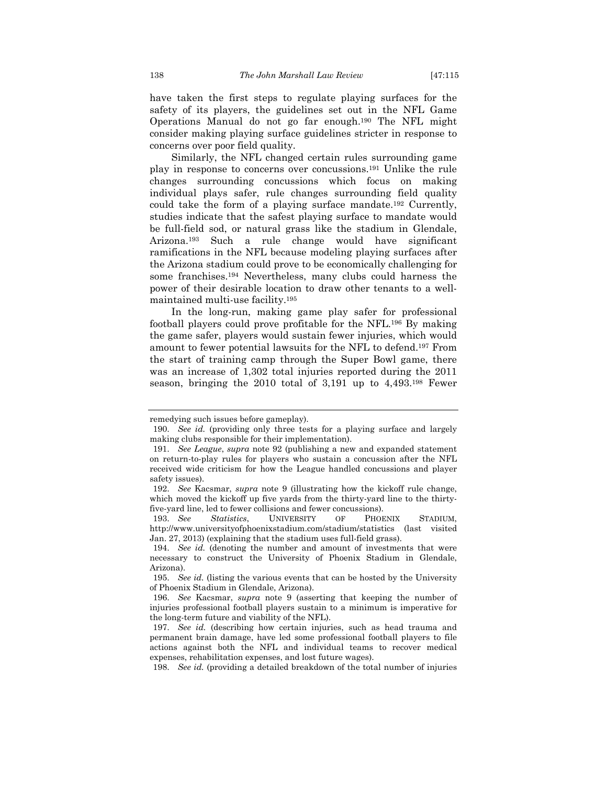have taken the first steps to regulate playing surfaces for the safety of its players, the guidelines set out in the NFL Game Operations Manual do not go far enough.190 The NFL might consider making playing surface guidelines stricter in response to concerns over poor field quality.

Similarly, the NFL changed certain rules surrounding game play in response to concerns over concussions.191 Unlike the rule changes surrounding concussions which focus on making individual plays safer, rule changes surrounding field quality could take the form of a playing surface mandate.192 Currently, studies indicate that the safest playing surface to mandate would be full-field sod, or natural grass like the stadium in Glendale, Arizona.193 Such a rule change would have significant ramifications in the NFL because modeling playing surfaces after the Arizona stadium could prove to be economically challenging for some franchises.194 Nevertheless, many clubs could harness the power of their desirable location to draw other tenants to a wellmaintained multi-use facility.195

In the long-run, making game play safer for professional football players could prove profitable for the NFL.196 By making the game safer, players would sustain fewer injuries, which would amount to fewer potential lawsuits for the NFL to defend.197 From the start of training camp through the Super Bowl game, there was an increase of 1,302 total injuries reported during the 2011 season, bringing the 2010 total of 3,191 up to 4,493.198 Fewer

remedying such issues before gameplay).

 <sup>190.</sup> *See id.* (providing only three tests for a playing surface and largely making clubs responsible for their implementation).

 <sup>191.</sup> *See League*, *supra* note 92 (publishing a new and expanded statement on return-to-play rules for players who sustain a concussion after the NFL received wide criticism for how the League handled concussions and player safety issues).

 <sup>192.</sup> *See* Kacsmar, *supra* note 9 (illustrating how the kickoff rule change, which moved the kickoff up five yards from the thirty-yard line to the thirtyfive-yard line, led to fewer collisions and fewer concussions).

 <sup>193.</sup> *See Statistics*, UNIVERSITY OF PHOENIX STADIUM, http://www.universityofphoenixstadium.com/stadium/statistics (last visited Jan. 27, 2013) (explaining that the stadium uses full-field grass).

 <sup>194.</sup> *See id.* (denoting the number and amount of investments that were necessary to construct the University of Phoenix Stadium in Glendale, Arizona).

 <sup>195.</sup> *See id.* (listing the various events that can be hosted by the University of Phoenix Stadium in Glendale, Arizona).

 <sup>196.</sup> *See* Kacsmar, *supra* note 9 (asserting that keeping the number of injuries professional football players sustain to a minimum is imperative for the long-term future and viability of the NFL).

 <sup>197.</sup> *See id.* (describing how certain injuries, such as head trauma and permanent brain damage, have led some professional football players to file actions against both the NFL and individual teams to recover medical expenses, rehabilitation expenses, and lost future wages).

 <sup>198.</sup> *See id.* (providing a detailed breakdown of the total number of injuries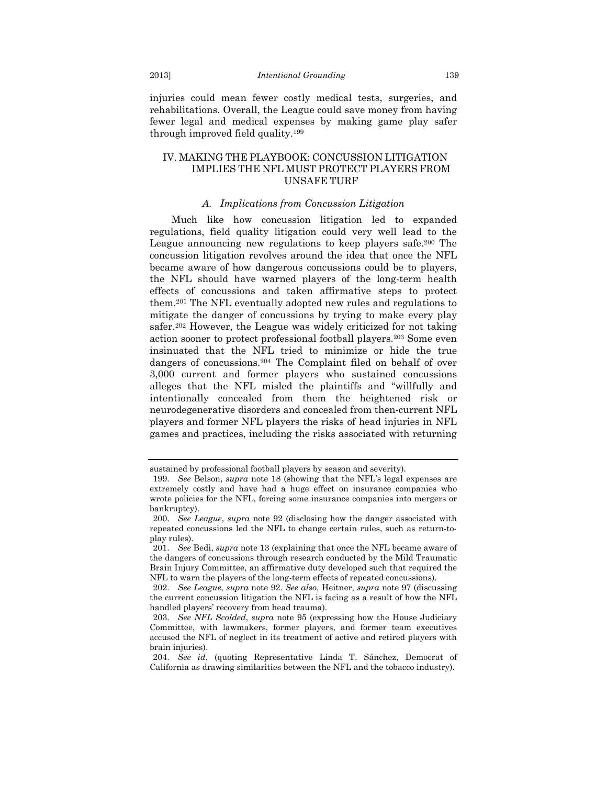injuries could mean fewer costly medical tests, surgeries, and rehabilitations. Overall, the League could save money from having fewer legal and medical expenses by making game play safer through improved field quality.199

#### IV. MAKING THE PLAYBOOK: CONCUSSION LITIGATION IMPLIES THE NFL MUST PROTECT PLAYERS FROM UNSAFE TURF

#### *A. Implications from Concussion Litigation*

Much like how concussion litigation led to expanded regulations, field quality litigation could very well lead to the League announcing new regulations to keep players safe.200 The concussion litigation revolves around the idea that once the NFL became aware of how dangerous concussions could be to players, the NFL should have warned players of the long-term health effects of concussions and taken affirmative steps to protect them.201 The NFL eventually adopted new rules and regulations to mitigate the danger of concussions by trying to make every play safer.202 However, the League was widely criticized for not taking action sooner to protect professional football players.203 Some even insinuated that the NFL tried to minimize or hide the true dangers of concussions.204 The Complaint filed on behalf of over 3,000 current and former players who sustained concussions alleges that the NFL misled the plaintiffs and "willfully and intentionally concealed from them the heightened risk or neurodegenerative disorders and concealed from then-current NFL players and former NFL players the risks of head injuries in NFL games and practices, including the risks associated with returning

sustained by professional football players by season and severity).

 <sup>199.</sup> *See* Belson, *supra* note 18 (showing that the NFL's legal expenses are extremely costly and have had a huge effect on insurance companies who wrote policies for the NFL, forcing some insurance companies into mergers or bankruptcy).

 <sup>200.</sup> *See League*, *supra* note 92 (disclosing how the danger associated with repeated concussions led the NFL to change certain rules, such as return-toplay rules).

 <sup>201.</sup> *See* Bedi, *supra* note 13 (explaining that once the NFL became aware of the dangers of concussions through research conducted by the Mild Traumatic Brain Injury Committee, an affirmative duty developed such that required the NFL to warn the players of the long-term effects of repeated concussions).

 <sup>202.</sup> *See League*, *supra* note 92. *See also*, Heitner, *supra* note 97 (discussing the current concussion litigation the NFL is facing as a result of how the NFL handled players' recovery from head trauma).

 <sup>203.</sup> *See NFL Scolded*, *supra* note 95 (expressing how the House Judiciary Committee, with lawmakers, former players, and former team executives accused the NFL of neglect in its treatment of active and retired players with brain injuries).

 <sup>204.</sup> *See id.* (quoting Representative Linda T. Sánchez, Democrat of California as drawing similarities between the NFL and the tobacco industry).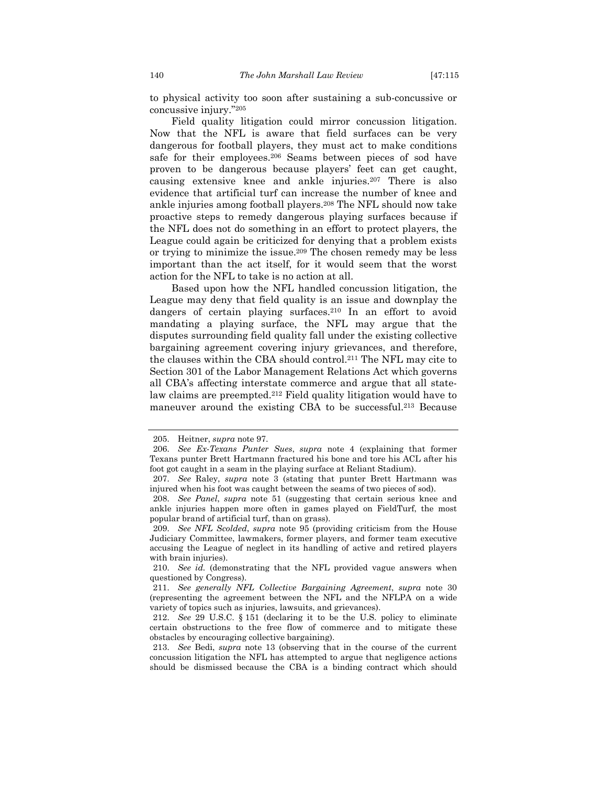to physical activity too soon after sustaining a sub-concussive or concussive injury."205

Field quality litigation could mirror concussion litigation. Now that the NFL is aware that field surfaces can be very dangerous for football players, they must act to make conditions safe for their employees.206 Seams between pieces of sod have proven to be dangerous because players' feet can get caught, causing extensive knee and ankle injuries.207 There is also evidence that artificial turf can increase the number of knee and ankle injuries among football players.208 The NFL should now take proactive steps to remedy dangerous playing surfaces because if the NFL does not do something in an effort to protect players, the League could again be criticized for denying that a problem exists or trying to minimize the issue.209 The chosen remedy may be less important than the act itself, for it would seem that the worst action for the NFL to take is no action at all.

Based upon how the NFL handled concussion litigation, the League may deny that field quality is an issue and downplay the dangers of certain playing surfaces.<sup>210</sup> In an effort to avoid mandating a playing surface, the NFL may argue that the disputes surrounding field quality fall under the existing collective bargaining agreement covering injury grievances, and therefore, the clauses within the CBA should control.211 The NFL may cite to Section 301 of the Labor Management Relations Act which governs all CBA's affecting interstate commerce and argue that all statelaw claims are preempted.212 Field quality litigation would have to maneuver around the existing CBA to be successful.213 Because

 <sup>205.</sup> Heitner, *supra* note 97.

 <sup>206.</sup> *See Ex-Texans Punter Sues*, *supra* note 4 (explaining that former Texans punter Brett Hartmann fractured his bone and tore his ACL after his foot got caught in a seam in the playing surface at Reliant Stadium).

 <sup>207.</sup> *See* Raley, *supra* note 3 (stating that punter Brett Hartmann was injured when his foot was caught between the seams of two pieces of sod).

 <sup>208.</sup> *See Panel*, *supra* note 51 (suggesting that certain serious knee and ankle injuries happen more often in games played on FieldTurf, the most popular brand of artificial turf, than on grass).

 <sup>209.</sup> *See NFL Scolded*, *supra* note 95 (providing criticism from the House Judiciary Committee, lawmakers, former players, and former team executive accusing the League of neglect in its handling of active and retired players with brain injuries).

 <sup>210.</sup> *See id.* (demonstrating that the NFL provided vague answers when questioned by Congress).

 <sup>211.</sup> *See generally NFL Collective Bargaining Agreement*, *supra* note 30 (representing the agreement between the NFL and the NFLPA on a wide variety of topics such as injuries, lawsuits, and grievances).

 <sup>212.</sup> *See* 29 U.S.C. § 151 (declaring it to be the U.S. policy to eliminate certain obstructions to the free flow of commerce and to mitigate these obstacles by encouraging collective bargaining).

 <sup>213.</sup> *See* Bedi, *supra* note 13 (observing that in the course of the current concussion litigation the NFL has attempted to argue that negligence actions should be dismissed because the CBA is a binding contract which should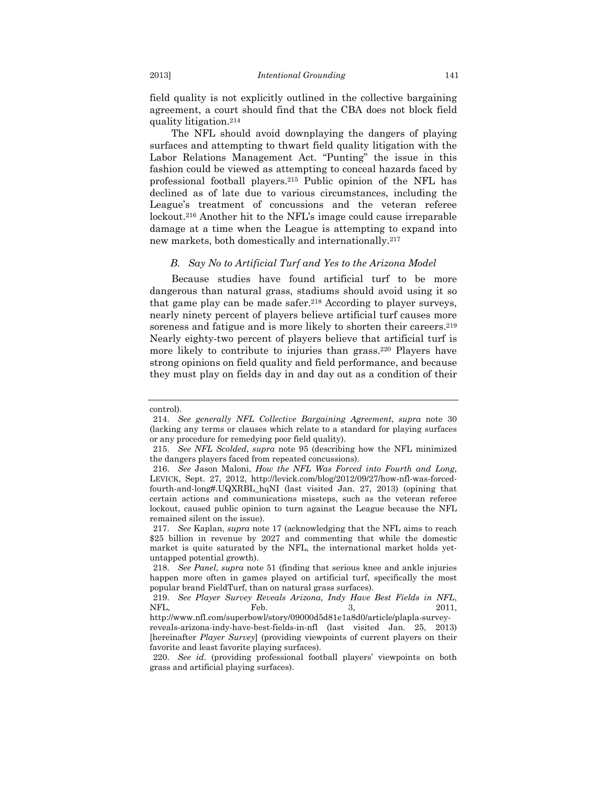field quality is not explicitly outlined in the collective bargaining agreement, a court should find that the CBA does not block field quality litigation.214

The NFL should avoid downplaying the dangers of playing surfaces and attempting to thwart field quality litigation with the Labor Relations Management Act. "Punting" the issue in this fashion could be viewed as attempting to conceal hazards faced by professional football players.215 Public opinion of the NFL has declined as of late due to various circumstances, including the League's treatment of concussions and the veteran referee lockout.216 Another hit to the NFL's image could cause irreparable damage at a time when the League is attempting to expand into new markets, both domestically and internationally.217

#### *B. Say No to Artificial Turf and Yes to the Arizona Model*

Because studies have found artificial turf to be more dangerous than natural grass, stadiums should avoid using it so that game play can be made safer.218 According to player surveys, nearly ninety percent of players believe artificial turf causes more soreness and fatigue and is more likely to shorten their careers.<sup>219</sup> Nearly eighty-two percent of players believe that artificial turf is more likely to contribute to injuries than grass.220 Players have strong opinions on field quality and field performance, and because they must play on fields day in and day out as a condition of their

control).

 <sup>214.</sup> *See generally NFL Collective Bargaining Agreement*, *supra* note 30 (lacking any terms or clauses which relate to a standard for playing surfaces or any procedure for remedying poor field quality).

 <sup>215.</sup> *See NFL Scolded*, *supra* note 95 (describing how the NFL minimized the dangers players faced from repeated concussions).

 <sup>216.</sup> *See* Jason Maloni, *How the NFL Was Forced into Fourth and Long*, LEVICK, Sept. 27, 2012, http://levick.com/blog/2012/09/27/how-nfl-was-forcedfourth-and-long#.UQXRBL\_hqNI (last visited Jan. 27, 2013) (opining that certain actions and communications missteps, such as the veteran referee lockout, caused public opinion to turn against the League because the NFL remained silent on the issue).

 <sup>217.</sup> *See* Kaplan, *supra* note 17 (acknowledging that the NFL aims to reach \$25 billion in revenue by 2027 and commenting that while the domestic market is quite saturated by the NFL, the international market holds yetuntapped potential growth).

 <sup>218.</sup> *See Panel*, *supra* note 51 (finding that serious knee and ankle injuries happen more often in games played on artificial turf, specifically the most popular brand FieldTurf, than on natural grass surfaces).

 <sup>219.</sup> *See Player Survey Reveals Arizona, Indy Have Best Fields in NFL*, NFL, Feb. 5, 2011,

http://www.nfl.com/superbowl/story/09000d5d81e1a8d0/article/plapla-surveyreveals-arizona-indy-have-best-fields-in-nfl (last visited Jan. 25, 2013) [hereinafter *Player Survey*] (providing viewpoints of current players on their favorite and least favorite playing surfaces).

 <sup>220.</sup> *See id.* (providing professional football players' viewpoints on both grass and artificial playing surfaces).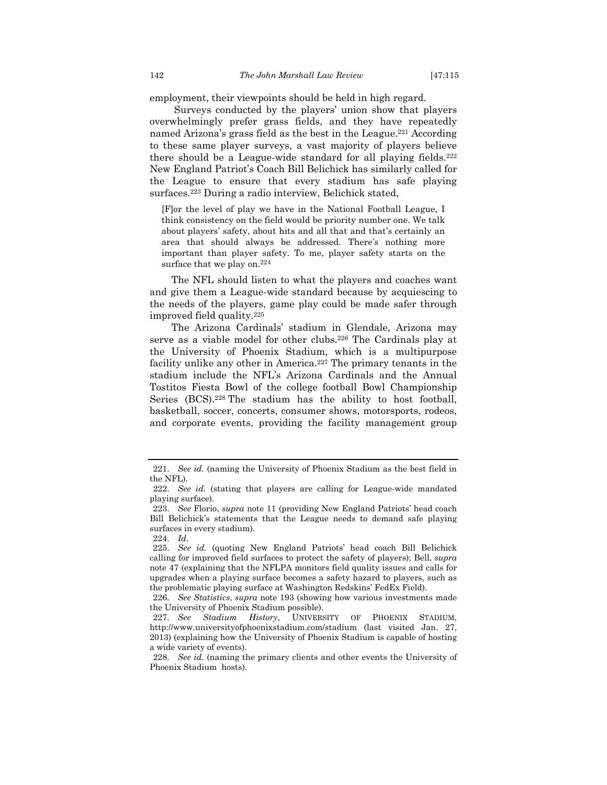employment, their viewpoints should be held in high regard.

 Surveys conducted by the players' union show that players overwhelmingly prefer grass fields, and they have repeatedly named Arizona's grass field as the best in the League.221 According to these same player surveys, a vast majority of players believe there should be a League-wide standard for all playing fields.<sup>222</sup> New England Patriot's Coach Bill Belichick has similarly called for the League to ensure that every stadium has safe playing surfaces.223 During a radio interview, Belichick stated,

[F]or the level of play we have in the National Football League, I think consistency on the field would be priority number one. We talk about players' safety, about hits and all that and that's certainly an area that should always be addressed. There's nothing more important than player safety. To me, player safety starts on the surface that we play on.<sup>224</sup>

The NFL should listen to what the players and coaches want and give them a League-wide standard because by acquiescing to the needs of the players, game play could be made safer through improved field quality.225

The Arizona Cardinals' stadium in Glendale, Arizona may serve as a viable model for other clubs.226 The Cardinals play at the University of Phoenix Stadium, which is a multipurpose facility unlike any other in America.<sup>227</sup> The primary tenants in the stadium include the NFL's Arizona Cardinals and the Annual Tostitos Fiesta Bowl of the college football Bowl Championship Series (BCS).<sup>228</sup> The stadium has the ability to host football, basketball, soccer, concerts, consumer shows, motorsports, rodeos, and corporate events, providing the facility management group

 <sup>221.</sup> *See id.* (naming the University of Phoenix Stadium as the best field in the NFL).

 <sup>222.</sup> *See id.* (stating that players are calling for League-wide mandated playing surface).

 <sup>223.</sup> *See* Florio, *supra* note 11 (providing New England Patriots' head coach Bill Belichick's statements that the League needs to demand safe playing surfaces in every stadium).

 <sup>224.</sup> *Id.*

 <sup>225.</sup> *See id.* (quoting New England Patriots' head coach Bill Belichick calling for improved field surfaces to protect the safety of players); Bell, *supra* note 47 (explaining that the NFLPA monitors field quality issues and calls for upgrades when a playing surface becomes a safety hazard to players, such as the problematic playing surface at Washington Redskins' FedEx Field).

 <sup>226.</sup> *See Statistics*, *supra* note 193 (showing how various investments made the University of Phoenix Stadium possible).

 <sup>227.</sup> *See Stadium History*, UNIVERSITY OF PHOENIX STADIUM, http://www.universityofphoenixstadium.com/stadium (last visited Jan. 27, 2013) (explaining how the University of Phoenix Stadium is capable of hosting a wide variety of events).

 <sup>228.</sup> *See id.* (naming the primary clients and other events the University of Phoenix Stadium hosts).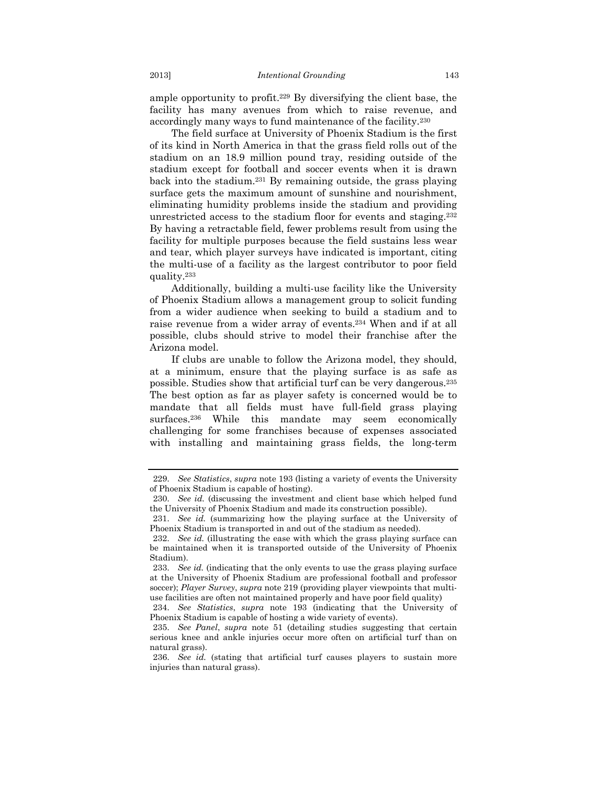ample opportunity to profit.229 By diversifying the client base, the facility has many avenues from which to raise revenue, and accordingly many ways to fund maintenance of the facility.230

The field surface at University of Phoenix Stadium is the first of its kind in North America in that the grass field rolls out of the stadium on an 18.9 million pound tray, residing outside of the stadium except for football and soccer events when it is drawn back into the stadium.231 By remaining outside, the grass playing surface gets the maximum amount of sunshine and nourishment, eliminating humidity problems inside the stadium and providing unrestricted access to the stadium floor for events and staging.232 By having a retractable field, fewer problems result from using the facility for multiple purposes because the field sustains less wear and tear, which player surveys have indicated is important, citing the multi-use of a facility as the largest contributor to poor field quality.233

Additionally, building a multi-use facility like the University of Phoenix Stadium allows a management group to solicit funding from a wider audience when seeking to build a stadium and to raise revenue from a wider array of events.234 When and if at all possible, clubs should strive to model their franchise after the Arizona model.

If clubs are unable to follow the Arizona model, they should, at a minimum, ensure that the playing surface is as safe as possible. Studies show that artificial turf can be very dangerous.235 The best option as far as player safety is concerned would be to mandate that all fields must have full-field grass playing surfaces.236 While this mandate may seem economically challenging for some franchises because of expenses associated with installing and maintaining grass fields, the long-term

 <sup>229.</sup> *See Statistics*, *supra* note 193 (listing a variety of events the University of Phoenix Stadium is capable of hosting).

 <sup>230.</sup> *See id.* (discussing the investment and client base which helped fund the University of Phoenix Stadium and made its construction possible).

 <sup>231.</sup> *See id.* (summarizing how the playing surface at the University of Phoenix Stadium is transported in and out of the stadium as needed).

 <sup>232.</sup> *See id.* (illustrating the ease with which the grass playing surface can be maintained when it is transported outside of the University of Phoenix Stadium).

 <sup>233.</sup> *See id.* (indicating that the only events to use the grass playing surface at the University of Phoenix Stadium are professional football and professor soccer); *Player Survey*, *supra* note 219 (providing player viewpoints that multiuse facilities are often not maintained properly and have poor field quality)

 <sup>234.</sup> *See Statistics*, *supra* note 193 (indicating that the University of Phoenix Stadium is capable of hosting a wide variety of events).

 <sup>235.</sup> *See Panel*, *supra* note 51 (detailing studies suggesting that certain serious knee and ankle injuries occur more often on artificial turf than on natural grass).

 <sup>236.</sup> *See id.* (stating that artificial turf causes players to sustain more injuries than natural grass).